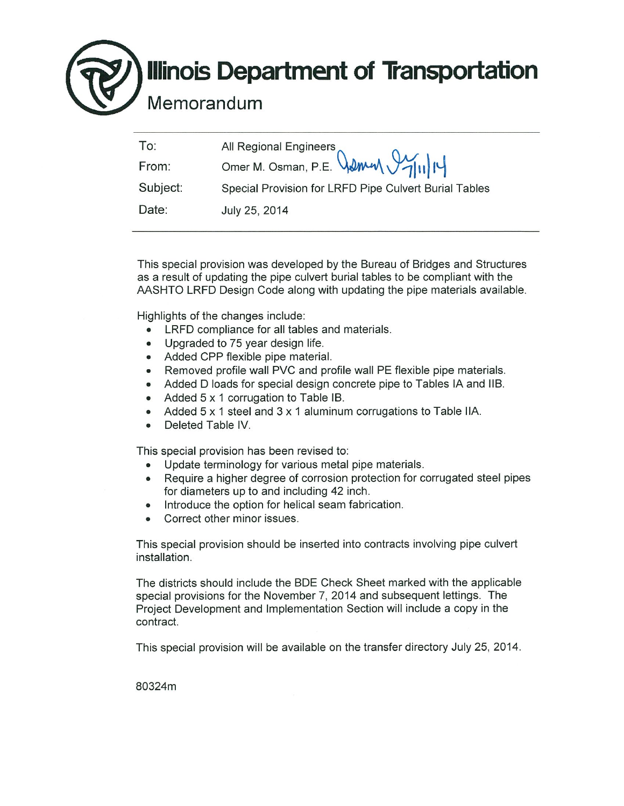## **Illinois Department of Transportation**

Memorandum

| To:      |                                                             |
|----------|-------------------------------------------------------------|
| From:    | All Regional Engineers<br>Omer M. Osman, P.E. Wamm V7/11/14 |
| Subject: | Special Provision for LRFD Pipe Culvert Burial Tables       |
| Date:    | July 25, 2014                                               |

This special provision was developed by the Bureau of Bridges and Structures as a result of updating the pipe culvert burial tables to be compliant with the AASHTO LRFD Design Code along with updating the pipe materials available.

Highlights of the changes include:

- LRFD compliance for all tables and materials.  $\bullet$
- Upgraded to 75 year design life.
- Added CPP flexible pipe material.
- Removed profile wall PVC and profile wall PE flexible pipe materials.
- Added D loads for special design concrete pipe to Tables IA and IIB.
- Added 5 x 1 corrugation to Table IB.
- Added  $5 \times 1$  steel and  $3 \times 1$  aluminum corrugations to Table IIA.
- Deleted Table IV.  $\bullet$

This special provision has been revised to:

- Update terminology for various metal pipe materials.
- Require a higher degree of corrosion protection for corrugated steel pipes for diameters up to and including 42 inch.
- Introduce the option for helical seam fabrication.  $\bullet$
- Correct other minor issues.  $\bullet$

This special provision should be inserted into contracts involving pipe culvert installation

The districts should include the BDE Check Sheet marked with the applicable special provisions for the November 7, 2014 and subsequent lettings. The Project Development and Implementation Section will include a copy in the contract.

This special provision will be available on the transfer directory July 25, 2014.

80324m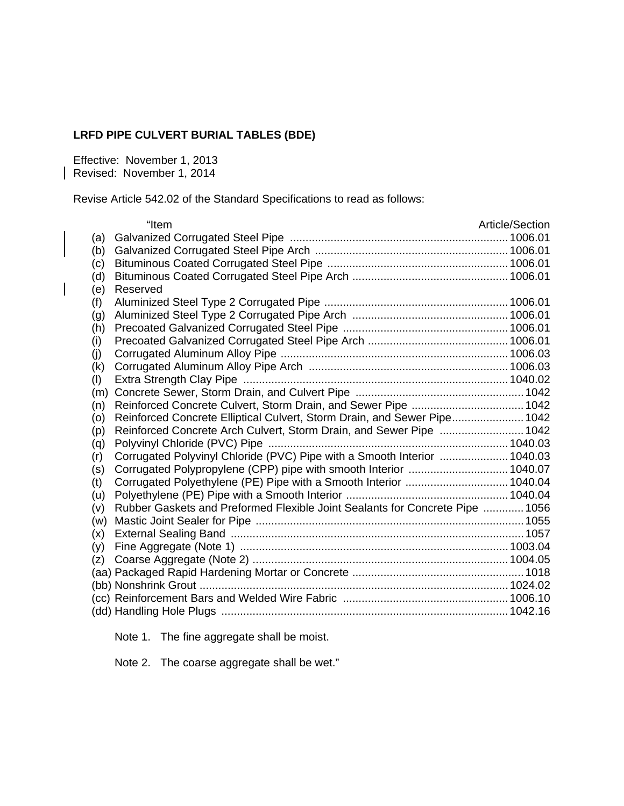## **LRFD PIPE CULVERT BURIAL TABLES (BDE)**

Effective: November 1, 2013 Revised: November 1, 2014

 $\overline{\phantom{a}}$ 

Revise Article 542.02 of the Standard Specifications to read as follows:

|     | "Item                                                                        | Article/Section |
|-----|------------------------------------------------------------------------------|-----------------|
| (a) |                                                                              |                 |
| (b) |                                                                              |                 |
| (c) |                                                                              |                 |
| (d) |                                                                              |                 |
| (e) | Reserved                                                                     |                 |
| (f) |                                                                              |                 |
| (g) |                                                                              |                 |
| (h) |                                                                              |                 |
| (i) |                                                                              |                 |
| (j) |                                                                              |                 |
| (k) |                                                                              |                 |
| (1) |                                                                              |                 |
| (m) |                                                                              |                 |
| (n) | Reinforced Concrete Culvert, Storm Drain, and Sewer Pipe  1042               |                 |
| (0) | Reinforced Concrete Elliptical Culvert, Storm Drain, and Sewer Pipe 1042     |                 |
| (p) | Reinforced Concrete Arch Culvert, Storm Drain, and Sewer Pipe  1042          |                 |
| (q) |                                                                              |                 |
| (r) | Corrugated Polyvinyl Chloride (PVC) Pipe with a Smooth Interior  1040.03     |                 |
| (s) | Corrugated Polypropylene (CPP) pipe with smooth Interior  1040.07            |                 |
| (t) | Corrugated Polyethylene (PE) Pipe with a Smooth Interior  1040.04            |                 |
| (u) |                                                                              |                 |
| (v) | Rubber Gaskets and Preformed Flexible Joint Sealants for Concrete Pipe  1056 |                 |
| (w) |                                                                              |                 |
| (x) |                                                                              |                 |
| (y) |                                                                              |                 |
| (z) |                                                                              |                 |
|     |                                                                              |                 |
|     |                                                                              |                 |
|     |                                                                              |                 |
|     |                                                                              |                 |

Note 1. The fine aggregate shall be moist.

Note 2. The coarse aggregate shall be wet."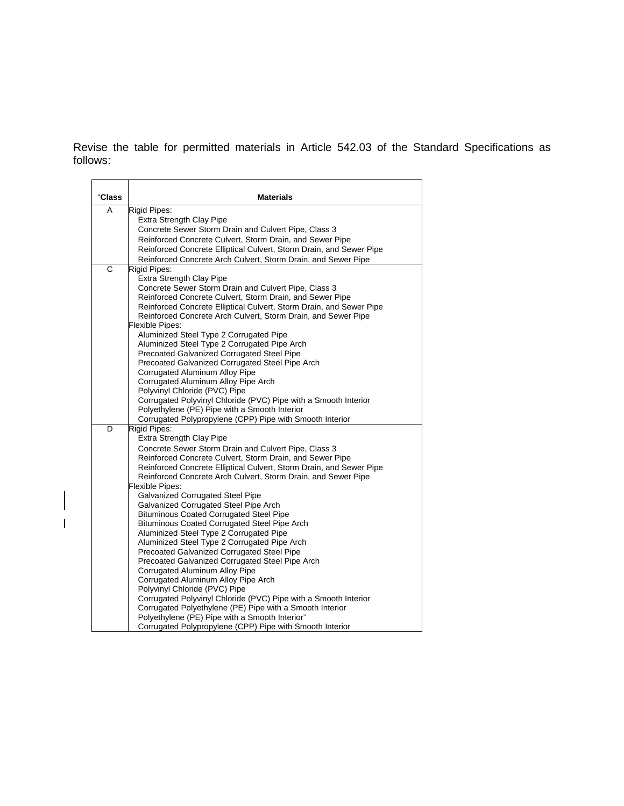Revise the table for permitted materials in Article 542.03 of the Standard Specifications as follows:

| "Class | <b>Materials</b>                                                                                                                |
|--------|---------------------------------------------------------------------------------------------------------------------------------|
| A      | Rigid Pipes:                                                                                                                    |
|        | Extra Strength Clay Pipe                                                                                                        |
|        | Concrete Sewer Storm Drain and Culvert Pipe, Class 3                                                                            |
|        | Reinforced Concrete Culvert, Storm Drain, and Sewer Pipe<br>Reinforced Concrete Elliptical Culvert, Storm Drain, and Sewer Pipe |
|        | Reinforced Concrete Arch Culvert, Storm Drain, and Sewer Pipe                                                                   |
| C      | Rigid Pipes:                                                                                                                    |
|        | Extra Strength Clay Pipe                                                                                                        |
|        | Concrete Sewer Storm Drain and Culvert Pipe, Class 3                                                                            |
|        | Reinforced Concrete Culvert, Storm Drain, and Sewer Pipe                                                                        |
|        | Reinforced Concrete Elliptical Culvert, Storm Drain, and Sewer Pipe                                                             |
|        | Reinforced Concrete Arch Culvert, Storm Drain, and Sewer Pipe                                                                   |
|        | <b>Flexible Pipes:</b>                                                                                                          |
|        | Aluminized Steel Type 2 Corrugated Pipe                                                                                         |
|        | Aluminized Steel Type 2 Corrugated Pipe Arch<br>Precoated Galvanized Corrugated Steel Pipe                                      |
|        | Precoated Galvanized Corrugated Steel Pipe Arch                                                                                 |
|        | Corrugated Aluminum Alloy Pipe                                                                                                  |
|        | Corrugated Aluminum Alloy Pipe Arch                                                                                             |
|        | Polyvinyl Chloride (PVC) Pipe                                                                                                   |
|        | Corrugated Polyvinyl Chloride (PVC) Pipe with a Smooth Interior                                                                 |
|        | Polyethylene (PE) Pipe with a Smooth Interior                                                                                   |
|        | Corrugated Polypropylene (CPP) Pipe with Smooth Interior                                                                        |
| D      | Rigid Pipes:                                                                                                                    |
|        | <b>Extra Strength Clay Pipe</b>                                                                                                 |
|        | Concrete Sewer Storm Drain and Culvert Pipe, Class 3<br>Reinforced Concrete Culvert, Storm Drain, and Sewer Pipe                |
|        | Reinforced Concrete Elliptical Culvert, Storm Drain, and Sewer Pipe                                                             |
|        | Reinforced Concrete Arch Culvert, Storm Drain, and Sewer Pipe                                                                   |
|        | Flexible Pipes:                                                                                                                 |
|        | <b>Galvanized Corrugated Steel Pipe</b>                                                                                         |
|        | Galvanized Corrugated Steel Pipe Arch                                                                                           |
|        | <b>Bituminous Coated Corrugated Steel Pipe</b>                                                                                  |
|        | <b>Bituminous Coated Corrugated Steel Pipe Arch</b>                                                                             |
|        | Aluminized Steel Type 2 Corrugated Pipe                                                                                         |
|        | Aluminized Steel Type 2 Corrugated Pipe Arch<br>Precoated Galvanized Corrugated Steel Pipe                                      |
|        | Precoated Galvanized Corrugated Steel Pipe Arch                                                                                 |
|        | Corrugated Aluminum Alloy Pipe                                                                                                  |
|        | Corrugated Aluminum Alloy Pipe Arch                                                                                             |
|        | Polyvinyl Chloride (PVC) Pipe                                                                                                   |
|        | Corrugated Polyvinyl Chloride (PVC) Pipe with a Smooth Interior                                                                 |
|        | Corrugated Polyethylene (PE) Pipe with a Smooth Interior                                                                        |
|        | Polyethylene (PE) Pipe with a Smooth Interior"                                                                                  |
|        | Corrugated Polypropylene (CPP) Pipe with Smooth Interior                                                                        |

 $\begin{array}{c} \hline \end{array}$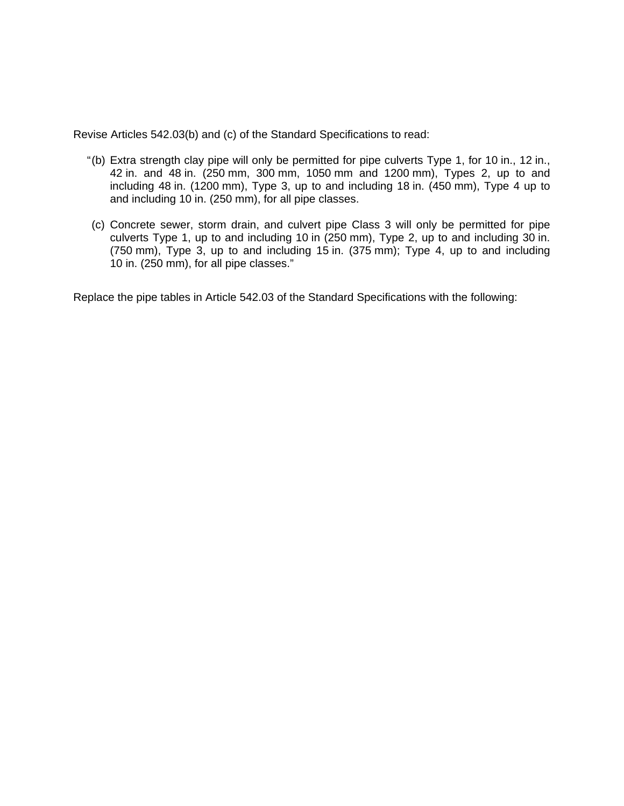Revise Articles 542.03(b) and (c) of the Standard Specifications to read:

- " (b) Extra strength clay pipe will only be permitted for pipe culverts Type 1, for 10 in., 12 in., 42 in. and 48 in. (250 mm, 300 mm, 1050 mm and 1200 mm), Types 2, up to and including 48 in. (1200 mm), Type 3, up to and including 18 in. (450 mm), Type 4 up to and including 10 in. (250 mm), for all pipe classes.
- (c) Concrete sewer, storm drain, and culvert pipe Class 3 will only be permitted for pipe culverts Type 1, up to and including 10 in (250 mm), Type 2, up to and including 30 in. (750 mm), Type 3, up to and including 15 in. (375 mm); Type 4, up to and including 10 in. (250 mm), for all pipe classes."

Replace the pipe tables in Article 542.03 of the Standard Specifications with the following: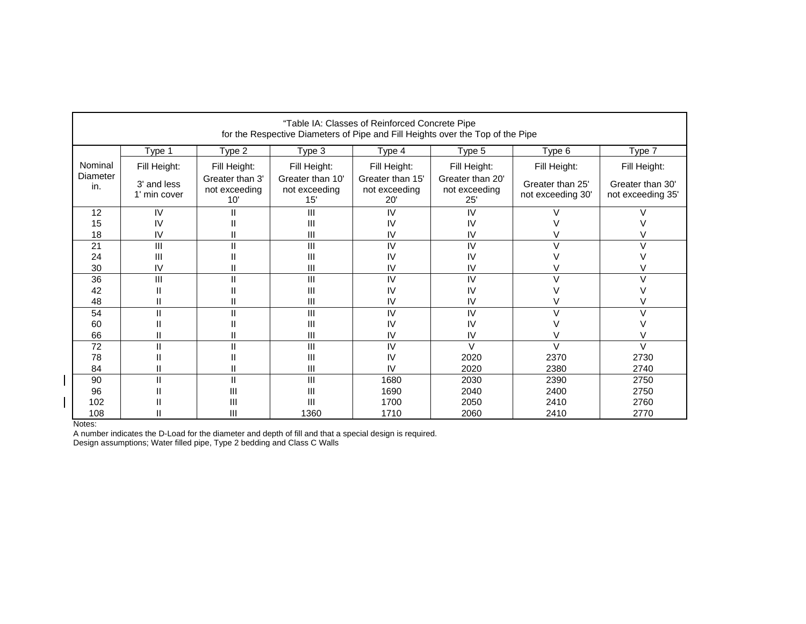|                 |                             |                                         |                                          | "Table IA: Classes of Reinforced Concrete Pipe | for the Respective Diameters of Pipe and Fill Heights over the Top of the Pipe |                                       |                                       |
|-----------------|-----------------------------|-----------------------------------------|------------------------------------------|------------------------------------------------|--------------------------------------------------------------------------------|---------------------------------------|---------------------------------------|
|                 | Type 1                      | Type 2                                  | Type 3                                   | Type 4                                         | Type 5                                                                         | Type 6                                | Type 7                                |
| Nominal         | Fill Height:                | Fill Height:                            | Fill Height:                             | Fill Height:                                   | Fill Height:                                                                   | Fill Height:                          | Fill Height:                          |
| Diameter<br>in. | 3' and less<br>1' min cover | Greater than 3'<br>not exceeding<br>10' | Greater than 10'<br>not exceeding<br>15' | Greater than 15'<br>not exceeding<br>20'       | Greater than 20'<br>not exceeding<br>25'                                       | Greater than 25'<br>not exceeding 30' | Greater than 30'<br>not exceeding 35' |
| 12              | IV                          | Ш                                       | Ш                                        | IV                                             | IV                                                                             |                                       |                                       |
| 15              | IV                          |                                         | Ш                                        | IV                                             | IV                                                                             |                                       |                                       |
| 18              | IV                          |                                         | Ш                                        | IV                                             | IV                                                                             |                                       |                                       |
| 21              | $\mathbf{III}$              |                                         | Ш                                        | IV                                             | IV                                                                             |                                       | $\vee$                                |
| 24              | Ш                           |                                         | Ш                                        | IV                                             | IV                                                                             |                                       |                                       |
| 30              | IV                          |                                         | Ш                                        | IV                                             | IV                                                                             |                                       |                                       |
| 36              | $\mathbf{III}$              | П                                       | Ш                                        | IV                                             | IV                                                                             | $\mathcal{L}$                         | $\mathcal{U}$                         |
| 42              |                             |                                         | Ш                                        | IV                                             | IV                                                                             |                                       |                                       |
| 48              |                             |                                         | Ш                                        | IV                                             | IV                                                                             |                                       |                                       |
| 54              | Ш                           | П                                       | Ш                                        | IV                                             | IV                                                                             |                                       | $\mathcal{U}$                         |
| 60              |                             |                                         | Ш                                        | IV                                             | IV                                                                             |                                       |                                       |
| 66              |                             |                                         | Ш                                        | IV                                             | IV                                                                             |                                       |                                       |
| 72              | $\mathbf{I}$                | П                                       | Ш                                        | IV                                             | $\vee$                                                                         | $\vee$                                | $\vee$                                |
| 78              |                             |                                         | Ш                                        | IV                                             | 2020                                                                           | 2370                                  | 2730                                  |
| 84              |                             |                                         | Ш                                        | IV                                             | 2020                                                                           | 2380                                  | 2740                                  |
| 90              | $\mathbf{I}$                | $\mathbf{I}$                            | $\mathbf{III}$                           | 1680                                           | 2030                                                                           | 2390                                  | 2750                                  |
| 96              |                             | III                                     | Ш                                        | 1690                                           | 2040                                                                           | 2400                                  | 2750                                  |
| 102             |                             | Ш                                       | Ш                                        | 1700                                           | 2050                                                                           | 2410                                  | 2760                                  |
| 108             |                             | III                                     | 1360                                     | 1710                                           | 2060                                                                           | 2410                                  | 2770                                  |

Notes: A number indicates the D-Load for the diameter and depth of fill and that a special design is required.

Design assumptions; Water filled pipe, Type 2 bedding and Class C Walls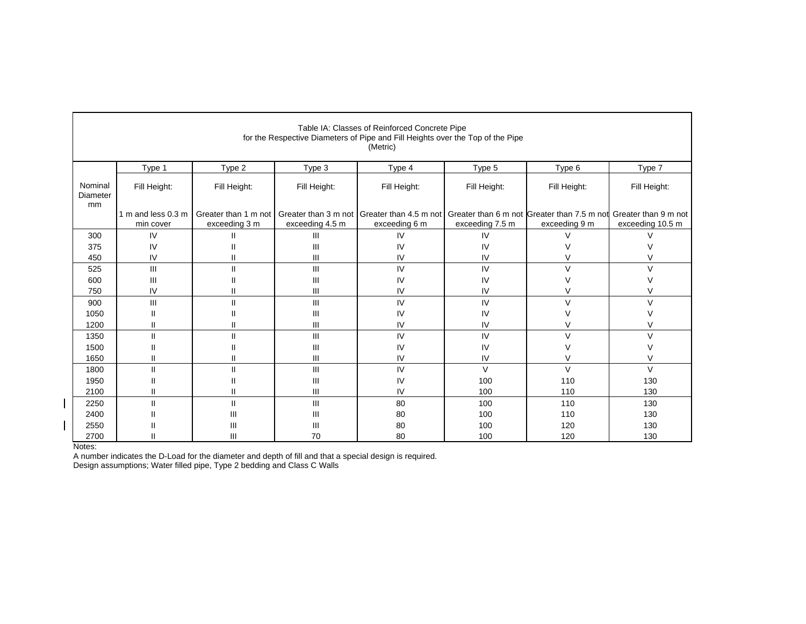|                           |                                 |                                       |                                         | Table IA: Classes of Reinforced Concrete Pipe<br>for the Respective Diameters of Pipe and Fill Heights over the Top of the Pipe<br>(Metric) |                 |                                                                                   |                  |
|---------------------------|---------------------------------|---------------------------------------|-----------------------------------------|---------------------------------------------------------------------------------------------------------------------------------------------|-----------------|-----------------------------------------------------------------------------------|------------------|
|                           | Type 1                          | Type 2                                | Type 3                                  | Type 4                                                                                                                                      | Type 5          | Type 6                                                                            | Type 7           |
| Nominal<br>Diameter<br>mm | Fill Height:                    | Fill Height:                          | Fill Height:                            | Fill Height:                                                                                                                                | Fill Height:    | Fill Height:                                                                      | Fill Height:     |
|                           | 1 m and less 0.3 m<br>min cover | Greater than 1 m not<br>exceeding 3 m | Greater than 3 m not<br>exceeding 4.5 m | Greater than 4.5 m not<br>exceeding 6 m                                                                                                     | exceeding 7.5 m | Greater than 6 m not Greater than 7.5 m not Greater than 9 m not<br>exceeding 9 m | exceeding 10.5 m |
| 300                       | IV                              |                                       | Ш                                       | IV                                                                                                                                          | IV              |                                                                                   |                  |
| 375                       | IV                              |                                       | Ш                                       | IV                                                                                                                                          | IV              |                                                                                   |                  |
| 450                       | IV                              |                                       | Ш                                       | IV                                                                                                                                          | IV              |                                                                                   | V                |
| 525                       | $\mathbf{III}$                  | $\mathsf{II}$                         | Ш                                       | IV                                                                                                                                          | IV              | $\vee$                                                                            | $\vee$           |
| 600                       | Ш                               |                                       | Ш                                       | IV                                                                                                                                          | IV              |                                                                                   |                  |
| 750                       | IV                              |                                       | Ш                                       | IV                                                                                                                                          | IV              |                                                                                   |                  |
| 900                       | Ш                               | $\mathbf{I}$                          | Ш                                       | IV                                                                                                                                          | IV              | V                                                                                 | V                |
| 1050                      |                                 |                                       | Ш                                       | IV                                                                                                                                          | IV              |                                                                                   |                  |
| 1200                      |                                 | Ш                                     | Ш                                       | IV                                                                                                                                          | IV              |                                                                                   | V                |
| 1350                      | $\mathbf{I}$                    | $\mathsf{II}$                         | Ш                                       | IV                                                                                                                                          | IV              | $\vee$                                                                            | V                |
| 1500                      | $\mathsf{I}$                    | Ш                                     | Ш                                       | IV                                                                                                                                          | IV              |                                                                                   | $\vee$           |
| 1650                      | $\mathbf{I}$                    | $\mathsf{II}$                         | Ш                                       | IV                                                                                                                                          | IV              | V                                                                                 | V                |
| 1800                      |                                 | $\mathsf{I}$                          | Ш                                       | IV                                                                                                                                          | $\vee$          | $\vee$                                                                            | V                |
| 1950                      |                                 |                                       | Ш                                       | IV                                                                                                                                          | 100             | 110                                                                               | 130              |
| 2100                      |                                 | Ш                                     | Ш                                       | IV                                                                                                                                          | 100             | 110                                                                               | 130              |
| 2250                      |                                 | $\mathbf{I}$                          | Ш                                       | 80                                                                                                                                          | 100             | 110                                                                               | 130              |
| 2400                      |                                 | Ш                                     | Ш                                       | 80                                                                                                                                          | 100             | 110                                                                               | 130              |
| 2550                      |                                 | Ш                                     | Ш                                       | 80                                                                                                                                          | 100             | 120                                                                               | 130              |
| 2700                      |                                 | Ш                                     | 70                                      | 80                                                                                                                                          | 100             | 120                                                                               | 130              |

Notes: A number indicates the D-Load for the diameter and depth of fill and that a special design is required.

Design assumptions; Water filled pipe, Type 2 bedding and Class C Walls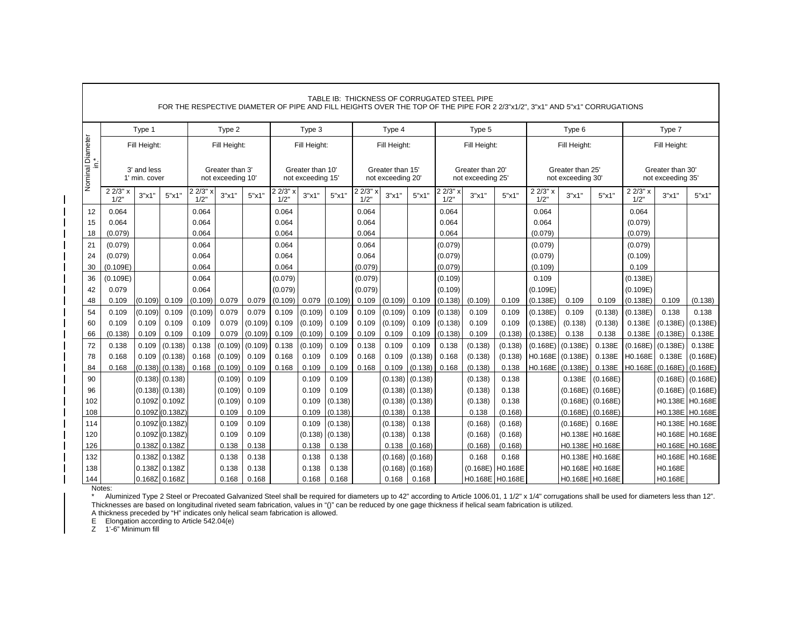|                        |                |                              |                     |                |                                      |                  |                  |                                       |                |                  |                                       |                |                  | TABLE IB: THICKNESS OF CORRUGATED STEEL PIPE |                    |                          |                                       | FOR THE RESPECTIVE DIAMETER OF PIPE AND FILL HEIGHTS OVER THE TOP OF THE PIPE FOR 2 2/3"x1/2", 3"x1" AND 5"x1" CORRUGATIONS |                     |                                       |                  |
|------------------------|----------------|------------------------------|---------------------|----------------|--------------------------------------|------------------|------------------|---------------------------------------|----------------|------------------|---------------------------------------|----------------|------------------|----------------------------------------------|--------------------|--------------------------|---------------------------------------|-----------------------------------------------------------------------------------------------------------------------------|---------------------|---------------------------------------|------------------|
|                        |                | Type 1                       |                     |                | Type 2                               |                  |                  | Type 3                                |                |                  | Type 4                                |                |                  | Type 5                                       |                    |                          | Type 6                                |                                                                                                                             |                     | Type 7                                |                  |
|                        |                | Fill Height:                 |                     |                | Fill Height:                         |                  |                  | Fill Height:                          |                |                  | Fill Height:                          |                |                  | Fill Height:                                 |                    |                          | Fill Height:                          |                                                                                                                             |                     | Fill Height:                          |                  |
| Nominal Diameter<br>Ξ. |                | 3' and less<br>1' min. cover |                     |                | Greater than 3'<br>not exceeding 10' |                  |                  | Greater than 10'<br>not exceeding 15' |                |                  | Greater than 15'<br>not exceeding 20' |                |                  | Greater than 20'<br>not exceeding 25'        |                    |                          | Greater than 25'<br>not exceeding 30' |                                                                                                                             |                     | Greater than 30'<br>not exceeding 35' |                  |
|                        | 22/3"x<br>1/2" | 3"x1                         | 5"x1"               | 22/3"<br>1/2   | 3"x1"                                | 5"x1"            | 2 2/3" x<br>1/2" | 3"x1"                                 | 5"x1"          | 2 2/3" x<br>1/2" | 3"x1"                                 | 5"x1"          | 2 2/3" x<br>1/2" | 3"x1"                                        | 5"x1"              | $2\frac{2}{3}$ x<br>1/2" | 3"x1"                                 | 5"x1"                                                                                                                       | 2 2/3" x<br>1/2"    | 3"x1"                                 | 5"x1"            |
| 12                     | 0.064          |                              |                     | 0.064          |                                      |                  | 0.064            |                                       |                | 0.064            |                                       |                | 0.064            |                                              |                    | 0.064                    |                                       |                                                                                                                             | 0.064               |                                       |                  |
| 15                     | 0.064          |                              |                     | 0.064          |                                      |                  | 0.064            |                                       |                | 0.064            |                                       |                | 0.064            |                                              |                    | 0.064                    |                                       |                                                                                                                             | (0.079)             |                                       |                  |
| 18                     | (0.079)        |                              |                     | 0.064          |                                      |                  | 0.064            |                                       |                | 0.064            |                                       |                | 0.064            |                                              |                    | (0.079)                  |                                       |                                                                                                                             | (0.079)             |                                       |                  |
| 21                     | (0.079)        |                              |                     | 0.064          |                                      |                  | 0.064            |                                       |                | 0.064            |                                       |                | (0.079)          |                                              |                    | (0.079)                  |                                       |                                                                                                                             | (0.079)             |                                       |                  |
| 24                     | (0.079)        |                              |                     | 0.064          |                                      |                  | 0.064            |                                       |                | 0.064            |                                       |                | (0.079)          |                                              |                    | (0.079)                  |                                       |                                                                                                                             | (0.109)             |                                       |                  |
| 30                     | (0.109E)       |                              |                     | 0.064          |                                      |                  | 0.064            |                                       |                | (0.079)          |                                       |                | (0.079)          |                                              |                    | (0.109)                  |                                       |                                                                                                                             | 0.109               |                                       |                  |
| 36                     | (0.109E)       |                              |                     | 0.064          |                                      |                  | (0.079)          |                                       |                | (0.079)          |                                       |                | (0.109)          |                                              |                    | 0.109                    |                                       |                                                                                                                             | (0.138E)            |                                       |                  |
| 42                     | 0.079          |                              |                     | 0.064          |                                      |                  | (0.079)          |                                       |                | (0.079)          |                                       |                | (0.109)          |                                              |                    | (0.109E)                 |                                       |                                                                                                                             | (0.109E)            |                                       |                  |
| 48                     | 0.109          | (0.109)                      | 0.109               | (0.109)        | 0.079                                | 0.079            | (0.109)          | 0.079                                 | (0.109)        | 0.109            | (0.109)                               | 0.109          | (0.138)          | (0.109)                                      | 0.109              | (0.138E)                 | 0.109                                 | 0.109                                                                                                                       | (0.138E)            | 0.109                                 | (0.138)          |
| 54                     | 0.109          | (0.109)                      | 0.109               | (0.109)        | 0.079                                | 0.079            | 0.109            | (0.109)                               | 0.109          | 0.109            | (0.109)                               | 0.109          | (0.138)          | 0.109                                        | 0.109              | (0.138E)                 | 0.109                                 | (0.138)                                                                                                                     | (0.138E)            | 0.138                                 | 0.138            |
| 60                     | 0.109          | 0.109                        | 0.109               | 0.109          | 0.079                                | (0.109)          | 0.109            | (0.109)                               | 0.109          | 0.109            | (0.109)                               | 0.109          | (0.138)          | 0.109                                        | 0.109              | (0.138E)                 | (0.138)                               | (0.138)                                                                                                                     | 0.138E              | (0.138E)                              | (0.138E)         |
| 66                     | (0.138)        | 0.109<br>0.109               | 0.109<br>(0.138)    | 0.109          | 0.079                                | (0.109)          | 0.109            | (0.109)                               | 0.109<br>0.109 | 0.109<br>0.138   | 0.109<br>0.109                        | 0.109<br>0.109 | (0.138)          | 0.109                                        | (0.138)            | (0.138E)                 | 0.138                                 | 0.138<br>0.138E                                                                                                             | 0.138E              | (0.138E)                              | 0.138E<br>0.138E |
| 72<br>78               | 0.138<br>0.168 | 0.109                        | (0.138)             | 0.138<br>0.168 | (0.109)<br>(0.109)                   | (0.109)<br>0.109 | 0.138<br>0.168   | (0.109)<br>0.109                      | 0.109          | 0.168            | 0.109                                 | (0.138)        | 0.138<br>0.168   | (0.138)<br>(0.138)                           | (0.138)<br>(0.138) | (0.168E)<br>H0.168E      | (0.138E)<br>(0.138E)                  | 0.138E                                                                                                                      | (0.168E)<br>H0.168E | (0.138E)<br>0.138E                    | (0.168E)         |
| 84                     | 0.168          | (0.138)                      | (0.138)             | 0.168          | (0.109)                              | 0.109            | 0.168            | 0.109                                 | 0.109          | 0.168            | 0.109                                 | (0.138)        | 0.168            | (0.138)                                      | 0.138              | H0.168E                  | (0.138E)                              | 0.138E                                                                                                                      | H0.168E             | (0.168E)                              | (0.168E)         |
| 90                     |                | (0.138)                      | (0.138)             |                | (0.109)                              | 0.109            |                  | 0.109                                 | 0.109          |                  | (0.138)                               | (0.138)        |                  | (0.138)                                      | 0.138              |                          | 0.138E                                | (0.168E)                                                                                                                    |                     | (0.168E)                              | (0.168E)         |
| 96                     |                |                              | $(0.138)$ $(0.138)$ |                | (0.109)                              | 0.109            |                  | 0.109                                 | 0.109          |                  | (0.138)                               | (0.138)        |                  | (0.138)                                      | 0.138              |                          | (0.168E)                              | (0.168E)                                                                                                                    |                     | (0.168E)                              | (0.168E)         |
| 102                    |                |                              | 0.109Z 0.109Z       |                | (0.109)                              | 0.109            |                  | 0.109                                 | (0.138)        |                  | (0.138)                               | (0.138)        |                  | (0.138)                                      | 0.138              |                          |                                       | $(0.168E)$ $(0.168E)$                                                                                                       |                     | H0.138E                               | H0.168E          |
| 108                    |                |                              | 0.109Z (0.138Z)     |                | 0.109                                | 0.109            |                  | 0.109                                 | (0.138)        |                  | (0.138)                               | 0.138          |                  | 0.138                                        | (0.168)            |                          | (0.168E)                              | (0.168E)                                                                                                                    |                     | H0.138E                               | H0.168E          |
| 114                    |                |                              | 0.109Z (0.138Z)     |                | 0.109                                | 0.109            |                  | 0.109                                 | (0.138)        |                  | (0.138)                               | 0.138          |                  | (0.168)                                      | (0.168)            |                          | (0.168E)                              | 0.168E                                                                                                                      |                     | H0.138E                               | H0.168E          |
| 120                    |                |                              | 0.109Z (0.138Z)     |                | 0.109                                | 0.109            |                  | (0.138)                               | (0.138)        |                  | (0.138)                               | 0.138          |                  | (0.168)                                      | (0.168)            |                          |                                       | H0.138E H0.168E                                                                                                             |                     | H0.168E                               | H0.168E          |
| 126                    |                |                              | 0.138Z 0.138Z       |                | 0.138                                | 0.138            |                  | 0.138                                 | 0.138          |                  | 0.138                                 | (0.168)        |                  | (0.168)                                      | (0.168)            |                          |                                       | H0.138E H0.168E                                                                                                             |                     |                                       | H0.168E H0.168E  |
| 132                    |                |                              | 0.138Z 0.138Z       |                | 0.138                                | 0.138            |                  | 0.138                                 | 0.138          |                  | (0.168)                               | (0.168)        |                  | 0.168                                        | 0.168              |                          |                                       | H0.138E H0.168E                                                                                                             |                     | H0.168E                               | H0.168E          |
| 138                    |                |                              | 0.138Z 0.138Z       |                | 0.138                                | 0.138            |                  | 0.138                                 | 0.138          |                  | (0.168)                               | (0.168)        |                  | (0.168E)                                     | H0.168E            |                          |                                       | H0.168E H0.168E                                                                                                             |                     | H0.168E                               |                  |
| 144                    |                |                              | 0.168Z 0.168Z       |                | 0.168                                | 0.168            |                  | 0.168                                 | 0.168          |                  | 0.168                                 | 0.168          |                  |                                              | H0.168E H0.168E    |                          |                                       | H0.168E H0.168E                                                                                                             |                     | H0.168E                               |                  |

Notes:<br>\* Aluminized Type 2 Steel or Precoated Galvanized Steel shall be required for diameters up to 42" according to Article 1006.01, 1 1/2" x 1/4" corrugations shall be used for diameters less than 12". Thicknesses are based on longitudinal riveted seam fabrication, values in "()" can be reduced by one gage thickness if helical seam fabrication is utilized.

A thickness preceded by "H" indicates only helical seam fabrication is allowed.

E Elongation according to Article 542.04(e) Z 1'-6" Minimum fill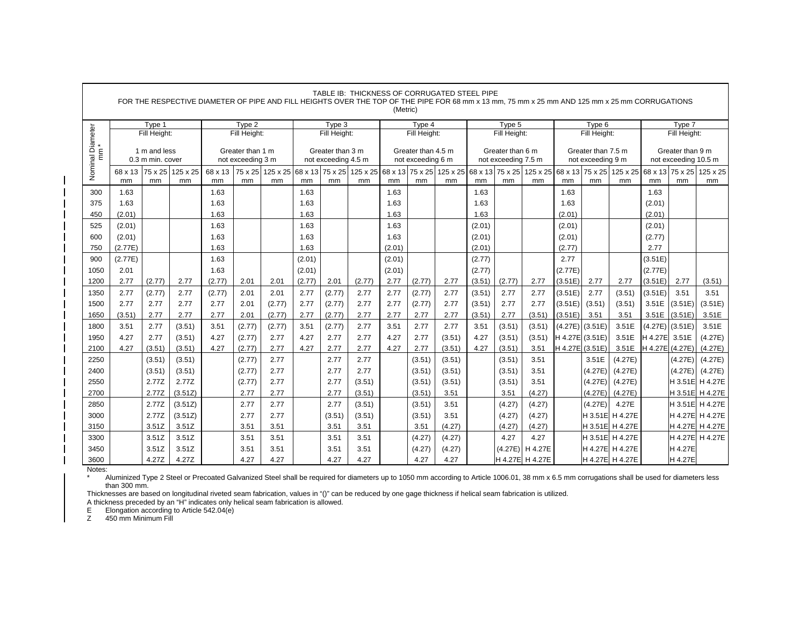|                                                  |               |                                  | FOR THE RESPECTIVE DIAMETER OF PIPE AND FILL HEIGHTS OVER THE TOP OF THE PIPE FOR 68 mm x 13 mm, 75 mm x 25 mm AND 125 mm x 25 mm CORRUGATIONS |               |                                       |                                |        |                                         | TABLE IB: THICKNESS OF CORRUGATED STEEL PIPE | (Metric) |                                         |                                |        |                                         |                                |                 |                                         |                                |         |                                          |                            |
|--------------------------------------------------|---------------|----------------------------------|------------------------------------------------------------------------------------------------------------------------------------------------|---------------|---------------------------------------|--------------------------------|--------|-----------------------------------------|----------------------------------------------|----------|-----------------------------------------|--------------------------------|--------|-----------------------------------------|--------------------------------|-----------------|-----------------------------------------|--------------------------------|---------|------------------------------------------|----------------------------|
|                                                  |               | Type 1                           |                                                                                                                                                |               | Type 2                                |                                |        | Type 3                                  |                                              |          | Type 4                                  |                                |        | Type 5                                  |                                |                 | Type 6                                  |                                |         | Type 7                                   |                            |
|                                                  |               | Fill Height:                     |                                                                                                                                                |               | Fill Height:                          |                                |        | Fill Height:                            |                                              |          | Fill Height:                            |                                |        | Fill Height:                            |                                |                 | Fill Height:                            |                                |         | Fill Height:                             |                            |
| Nominal Diameter<br>$\mathop{\mathsf{E}}\limits$ |               | 1 m and less<br>0.3 m min. cover |                                                                                                                                                |               | Greater than 1 m<br>not exceeding 3 m |                                |        | Greater than 3 m<br>not exceeding 4.5 m |                                              |          | Greater than 4.5 m<br>not exceeding 6 m |                                |        | Greater than 6 m<br>not exceeding 7.5 m |                                |                 | Greater than 7.5 m<br>not exceeding 9 m |                                |         | Greater than 9 m<br>not exceeding 10.5 m |                            |
|                                                  | 68 x 13<br>mm | 75 x 25<br>mm                    | 125 x 25<br>mm                                                                                                                                 | 68 x 13<br>mm | mm                                    | 75 x 25 125 x 25 68 x 13<br>mm | mm     | 75 x 25<br>mm                           | 125 x 25<br>mm                               | mm       | mm                                      | 68 x 13 75 x 25 125 x 25<br>mm | mm     | 68 x 13 75 x 25<br>mm                   | 125 x 25 68 x 13 75 x 25<br>mm | mm              | mm                                      | 125 x 25 68 x 13 75 x 25<br>mm | mm      | mm                                       | 125 x 25<br>mm             |
| 300                                              | 1.63          |                                  |                                                                                                                                                | 1.63          |                                       |                                | 1.63   |                                         |                                              | 1.63     |                                         |                                | 1.63   |                                         |                                | 1.63            |                                         |                                | 1.63    |                                          |                            |
| 375                                              | 1.63          |                                  |                                                                                                                                                | 1.63          |                                       |                                | 1.63   |                                         |                                              | 1.63     |                                         |                                | 1.63   |                                         |                                | 1.63            |                                         |                                | (2.01)  |                                          |                            |
| 450                                              | (2.01)        |                                  |                                                                                                                                                | 1.63          |                                       |                                | 1.63   |                                         |                                              | 1.63     |                                         |                                | 1.63   |                                         |                                | (2.01)          |                                         |                                | (2.01)  |                                          |                            |
| 525                                              | (2.01)        |                                  |                                                                                                                                                | 1.63          |                                       |                                | 1.63   |                                         |                                              | 1.63     |                                         |                                | (2.01) |                                         |                                | (2.01)          |                                         |                                | (2.01)  |                                          |                            |
| 600                                              | (2.01)        |                                  |                                                                                                                                                | 1.63          |                                       |                                | 1.63   |                                         |                                              | 1.63     |                                         |                                | (2.01) |                                         |                                | (2.01)          |                                         |                                | (2.77)  |                                          |                            |
| 750                                              | (2.77E)       |                                  |                                                                                                                                                | 1.63          |                                       |                                | 1.63   |                                         |                                              | (2.01)   |                                         |                                | (2.01) |                                         |                                | (2.77)          |                                         |                                | 2.77    |                                          |                            |
| 900                                              | (2.77E)       |                                  |                                                                                                                                                | 1.63          |                                       |                                | (2.01) |                                         |                                              | (2.01)   |                                         |                                | (2.77) |                                         |                                | 2.77            |                                         |                                | (3.51E) |                                          |                            |
| 1050                                             | 2.01          |                                  |                                                                                                                                                | 1.63          |                                       |                                | (2.01) |                                         |                                              | (2.01)   |                                         |                                | (2.77) |                                         |                                | (2.77E)         |                                         |                                | (2.77E) |                                          |                            |
| 1200                                             | 2.77          | (2.77)                           | 2.77                                                                                                                                           | (2.77)        | 2.01                                  | 2.01                           | (2.77) | 2.01                                    | (2.77)                                       | 2.77     | (2.77)                                  | 2.77                           | (3.51) | (2.77)                                  | 2.77                           | (3.51E)         | 2.77                                    | 2.77                           | (3.51E) | 2.77                                     | (3.51)                     |
| 1350                                             | 2.77          | (2.77)                           | 2.77                                                                                                                                           | (2.77)        | 2.01                                  | 2.01                           | 2.77   | (2.77)                                  | 2.77                                         | 2.77     | (2.77)                                  | 2.77                           | (3.51) | 2.77                                    | 2.77                           | (3.51E)         | 2.77                                    | (3.51)                         | (3.51E) | 3.51                                     | 3.51                       |
| 1500                                             | 2.77          | 2.77                             | 2.77                                                                                                                                           | 2.77          | 2.01                                  | (2.77)                         | 2.77   | (2.77)                                  | 2.77                                         | 2.77     | (2.77)                                  | 2.77                           | (3.51) | 2.77                                    | 2.77                           | (3.51E)         | (3.51)                                  | (3.51)                         | 3.51E   | (3.51E)                                  | (3.51E)                    |
| 1650                                             | (3.51)        | 2.77                             | 2.77                                                                                                                                           | 2.77          | 2.01                                  | (2.77)                         | 2.77   | (2.77)                                  | 2.77                                         | 2.77     | 2.77                                    | 2.77                           | (3.51) | 2.77                                    | (3.51)                         | (3.51E)         | 3.51                                    | 3.51                           | 3.51E   | (3.51E)                                  | 3.51E                      |
| 1800                                             | 3.51          | 2.77                             | (3.51)                                                                                                                                         | 3.51          | (2.77)                                | (2.77)                         | 3.51   | (2.77)                                  | 2.77                                         | 3.51     | 2.77                                    | 2.77                           | 3.51   | (3.51)                                  | (3.51)                         | (4.27E)         | (3.51E)                                 | 3.51E                          | (4.27E) | (3.51E)                                  | 3.51E                      |
| 1950                                             | 4.27          | 2.77                             | (3.51)                                                                                                                                         | 4.27          | (2.77)                                | 2.77                           | 4.27   | 2.77                                    | 2.77                                         | 4.27     | 2.77                                    | (3.51)                         | 4.27   | (3.51)                                  | (3.51)                         | H 4.27E (3.51E) |                                         | 3.51E                          | H 4.27E | 3.51E                                    | (4.27E)                    |
| 2100                                             | 4.27          | (3.51)                           | (3.51)                                                                                                                                         | 4.27          | (2.77)                                | 2.77                           | 4.27   | 2.77                                    | 2.77                                         | 4.27     | 2.77                                    | (3.51)                         | 4.27   | (3.51)                                  | 3.51                           | H 4.27E (3.51E) |                                         | 3.51E                          | H 4.27E | (4.27E)                                  | (4.27E)                    |
| 2250                                             |               | (3.51)                           | (3.51)                                                                                                                                         |               | (2.77)                                | 2.77<br>2.77                   |        | 2.77<br>2.77                            | 2.77<br>2.77                                 |          | (3.51)                                  | (3.51)                         |        | (3.51)                                  | 3.51                           |                 | 3.51E                                   | (4.27E)                        |         | (4.27E)                                  | (4.27E)                    |
| 2400<br>2550                                     |               | (3.51)<br>2.77Z                  | (3.51)<br>2.77Z                                                                                                                                |               | (2.77)<br>(2.77)                      | 2.77                           |        | 2.77                                    | (3.51)                                       |          | (3.51)<br>(3.51)                        | (3.51)<br>(3.51)               |        | (3.51)<br>(3.51)                        | 3.51<br>3.51                   |                 | (4.27E)<br>(4.27E)                      | (4.27E)<br>(4.27E)             |         | (4.27E)                                  | (4.27E)<br>H 3.51E H 4.27E |
| 2700                                             |               | 2.77Z                            | (3.51Z)                                                                                                                                        |               | 2.77                                  | 2.77                           |        | 2.77                                    | (3.51)                                       |          | (3.51)                                  | 3.51                           |        | 3.51                                    | (4.27)                         |                 | (4.27E)                                 | (4.27E)                        |         |                                          | H 3.51E H 4.27E            |
| 2850                                             |               | 2.77Z                            | (3.51Z)                                                                                                                                        |               | 2.77                                  | 2.77                           |        | 2.77                                    | (3.51)                                       |          | (3.51)                                  | 3.51                           |        | (4.27)                                  | (4.27)                         |                 | (4.27E)                                 | 4.27E                          |         |                                          | H 3.51E H 4.27E            |
| 3000                                             |               | 2.77Z                            | (3.51Z)                                                                                                                                        |               | 2.77                                  | 2.77                           |        | (3.51)                                  | (3.51)                                       |          | (3.51)                                  | 3.51                           |        | (4.27)                                  | (4.27)                         |                 |                                         | H 3.51E H 4.27E                |         |                                          | H 4.27E H 4.27E            |
| 3150                                             |               | 3.51Z                            | 3.51Z                                                                                                                                          |               | 3.51                                  | 3.51                           |        | 3.51                                    | 3.51                                         |          | 3.51                                    | (4.27)                         |        | (4.27)                                  | (4.27)                         |                 |                                         | H 3.51E H 4.27E                |         |                                          | H 4.27E H 4.27E            |
| 3300                                             |               | 3.51Z                            | 3.51Z                                                                                                                                          |               | 3.51                                  | 3.51                           |        | 3.51                                    | 3.51                                         |          | (4.27)                                  | (4.27)                         |        | 4.27                                    | 4.27                           |                 |                                         | H 3.51E H 4.27E                |         |                                          | H 4.27E H 4.27E            |
| 3450                                             |               | 3.51Z                            | 3.51Z                                                                                                                                          |               | 3.51                                  | 3.51                           |        | 3.51                                    | 3.51                                         |          | (4.27)                                  | (4.27)                         |        |                                         | (4.27E) H 4.27E                |                 |                                         | H 4.27E H 4.27E                |         | H 4.27E                                  |                            |
| 3600                                             |               | 4.27Z                            | 4.27Z                                                                                                                                          |               | 4.27                                  | 4.27                           |        | 4.27                                    | 4.27                                         |          | 4.27                                    | 4.27                           |        |                                         | H 4.27E H 4.27E                |                 |                                         | H 4.27E H 4.27E                |         | H 4.27E                                  |                            |

 \* Aluminized Type 2 Steel or Precoated Galvanized Steel shall be required for diameters up to 1050 mm according to Article 1006.01, 38 mm x 6.5 mm corrugations shall be used for diameters less than 300 mm.

Thicknesses are based on longitudinal riveted seam fabrication, values in "()" can be reduced by one gage thickness if helical seam fabrication is utilized.

A thickness preceded by an "H" indicates only helical seam fabrication is allowed.

E Elongation according to Article 542.04(e)<br>
Z 450 mm Minimum Fill

450 mm Minimum Fill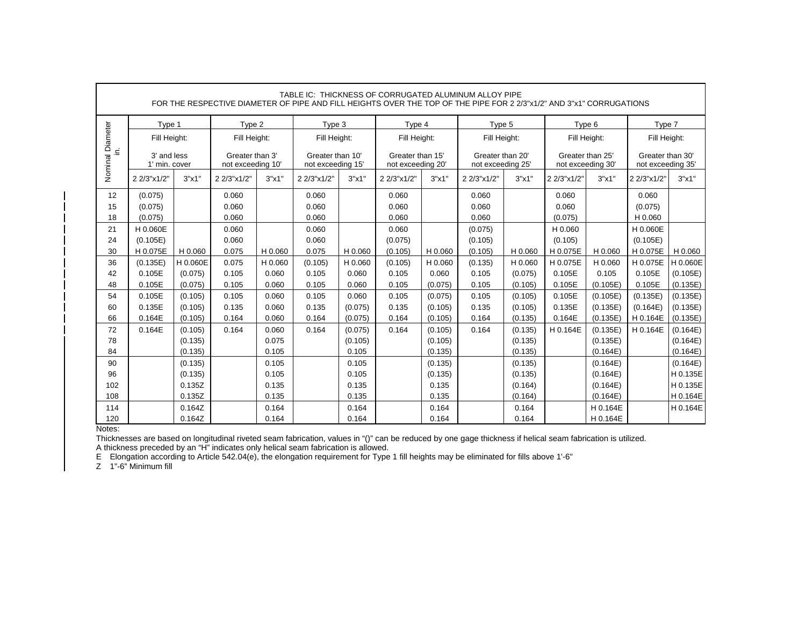|                            |                              |          |                                      |         |                                       |         | TABLE IC: THICKNESS OF CORRUGATED ALUMINUM ALLOY PIPE<br>FOR THE RESPECTIVE DIAMETER OF PIPE AND FILL HEIGHTS OVER THE TOP OF THE PIPE FOR 2 2/3"x1/2" AND 3"x1" CORRUGATIONS |         |                                       |         |                                       |          |                                       |          |
|----------------------------|------------------------------|----------|--------------------------------------|---------|---------------------------------------|---------|-------------------------------------------------------------------------------------------------------------------------------------------------------------------------------|---------|---------------------------------------|---------|---------------------------------------|----------|---------------------------------------|----------|
|                            | Type 1                       |          | Type 2                               |         | Type 3                                |         | Type 4                                                                                                                                                                        |         | Type 5                                |         | Type 6                                |          | Type 7                                |          |
|                            | Fill Height:                 |          | Fill Height:                         |         | Fill Height:                          |         | Fill Height:                                                                                                                                                                  |         | Fill Height:                          |         | Fill Height:                          |          | Fill Height:                          |          |
| Nominal Diameter<br>.<br>≘ | 3' and less<br>1' min. cover |          | Greater than 3'<br>not exceeding 10' |         | Greater than 10'<br>not exceeding 15' |         | Greater than 15'<br>not exceeding 20'                                                                                                                                         |         | Greater than 20'<br>not exceeding 25' |         | Greater than 25'<br>not exceeding 30' |          | Greater than 30'<br>not exceeding 35' |          |
|                            | 2 2/3"x1/2"                  | 3"x1"    | 2 2/3"x1/2"                          | 3"x1"   | 2 2/3"x1/2"                           | 3"x1"   | 2 2/3"x1/2"                                                                                                                                                                   | 3"x1"   | 2 2/3"x1/2"                           | 3"x1"   | 2 2/3"x1/2"                           | 3"x1"    | 2 2/3"x1/2"                           | 3"x1"    |
| 12                         | (0.075)                      |          | 0.060                                |         | 0.060                                 |         | 0.060                                                                                                                                                                         |         | 0.060                                 |         | 0.060                                 |          | 0.060                                 |          |
| 15                         | (0.075)                      |          | 0.060                                |         | 0.060                                 |         | 0.060                                                                                                                                                                         |         | 0.060                                 |         | 0.060                                 |          | (0.075)                               |          |
| 18                         | (0.075)                      |          | 0.060                                |         | 0.060                                 |         | 0.060                                                                                                                                                                         |         | 0.060                                 |         | (0.075)                               |          | H 0.060                               |          |
| 21                         | H 0.060E                     |          | 0.060                                |         | 0.060                                 |         | 0.060                                                                                                                                                                         |         | (0.075)                               |         | H 0.060                               |          | H 0.060E                              |          |
| 24                         | (0.105E)                     |          | 0.060                                |         | 0.060                                 |         | (0.075)                                                                                                                                                                       |         | (0.105)                               |         | (0.105)                               |          | (0.105E)                              |          |
| 30                         | H 0.075E                     | H 0.060  | 0.075                                | H 0.060 | 0.075<br>H 0.060                      |         | (0.105)                                                                                                                                                                       | H 0.060 | (0.105)                               | H 0.060 | H 0.075E                              | H 0.060  | H 0.075E                              | H 0.060  |
| 36                         | (0.135E)                     | H 0.060E | 0.075                                | H 0.060 | (0.105)                               | H 0.060 | (0.105)                                                                                                                                                                       | H 0.060 | (0.135)                               | H 0.060 | H 0.075E                              | H 0.060  | H 0.075E                              | H 0.060E |
| 42                         | 0.105E                       | (0.075)  | 0.105                                | 0.060   | 0.105                                 | 0.060   | 0.105                                                                                                                                                                         | 0.060   | 0.105                                 | (0.075) | 0.105E                                | 0.105    | 0.105E                                | (0.105E) |
| 48                         | 0.105E                       | (0.075)  | 0.105                                | 0.060   | 0.105                                 | 0.060   | 0.105                                                                                                                                                                         | (0.075) | 0.105                                 | (0.105) | 0.105E                                | (0.105E) | 0.105E                                | (0.135E) |
| 54                         | 0.105E                       | (0.105)  | 0.105                                | 0.060   | 0.105                                 | 0.060   | 0.105                                                                                                                                                                         | (0.075) | 0.105                                 | (0.105) | 0.105E                                | (0.105E) | (0.135E)                              | (0.135E) |
| 60                         | 0.135E                       | (0.105)  | 0.135                                | 0.060   | 0.135                                 | (0.075) | 0.135                                                                                                                                                                         | (0.105) | 0.135                                 | (0.105) | 0.135E                                | (0.135E) | (0.164E)                              | (0.135E) |
| 66                         | 0.164E                       | (0.105)  | 0.164                                | 0.060   | 0.164                                 | (0.075) | 0.164                                                                                                                                                                         | (0.105) | 0.164                                 | (0.135) | 0.164E                                | (0.135E) | H 0.164E                              | (0.135E) |
| 72                         | 0.164E                       | (0.105)  | 0.164                                | 0.060   | 0.164                                 | (0.075) | 0.164                                                                                                                                                                         | (0.105) | 0.164                                 | (0.135) | H 0.164E                              | (0.135E) | H 0.164E                              | (0.164E) |
| 78                         |                              | (0.135)  |                                      | 0.075   |                                       | (0.105) |                                                                                                                                                                               | (0.105) |                                       | (0.135) |                                       | (0.135E) |                                       | (0.164E) |
| 84                         |                              | (0.135)  |                                      | 0.105   |                                       | 0.105   |                                                                                                                                                                               | (0.135) |                                       | (0.135) |                                       | (0.164E) |                                       | (0.164E) |
| 90                         |                              | (0.135)  |                                      | 0.105   |                                       | 0.105   |                                                                                                                                                                               | (0.135) |                                       | (0.135) |                                       | (0.164E) |                                       | (0.164E) |
| 96                         |                              | (0.135)  |                                      | 0.105   |                                       | 0.105   |                                                                                                                                                                               | (0.135) |                                       | (0.135) |                                       | (0.164E) |                                       | H 0.135E |
| 102                        |                              | 0.135Z   |                                      | 0.135   |                                       | 0.135   |                                                                                                                                                                               | 0.135   |                                       | (0.164) |                                       | (0.164E) |                                       | H 0.135E |
| 108                        |                              | 0.135Z   |                                      | 0.135   |                                       | 0.135   |                                                                                                                                                                               | 0.135   |                                       | (0.164) |                                       | (0.164E) |                                       | H 0.164E |
| 114                        |                              | 0.164Z   |                                      | 0.164   |                                       | 0.164   |                                                                                                                                                                               | 0.164   |                                       | 0.164   |                                       | H 0.164E |                                       | H 0.164E |
| 120<br>N <sub>0</sub>      |                              | 0.164Z   |                                      | 0.164   |                                       | 0.164   |                                                                                                                                                                               | 0.164   |                                       | 0.164   |                                       | H 0.164E |                                       |          |

Thicknesses are based on longitudinal riveted seam fabrication, values in "()" can be reduced by one gage thickness if helical seam fabrication is utilized. A thickness preceded by an "H" indicates only helical seam fabrication is allowed.

E Elongation according to Article 542.04(e), the elongation requirement for Type 1 fill heights may be eliminated for fills above 1'-6" Z 1"-6" Minimum fill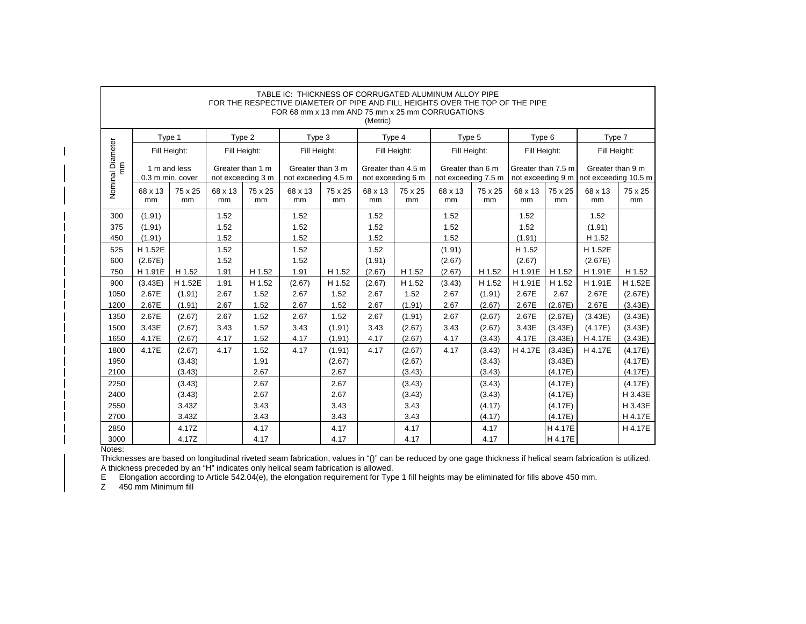|                        |                   |                |                                       |               | TABLE IC: THICKNESS OF CORRUGATED ALUMINUM ALLOY PIPE<br>FOR THE RESPECTIVE DIAMETER OF PIPE AND FILL HEIGHTS OVER THE TOP OF THE PIPE<br>FOR 68 mm x 13 mm AND 75 mm x 25 mm CORRUGATIONS |               | (Metric)                                |               |                                         |               |                    |                    |                                                            |                    |
|------------------------|-------------------|----------------|---------------------------------------|---------------|--------------------------------------------------------------------------------------------------------------------------------------------------------------------------------------------|---------------|-----------------------------------------|---------------|-----------------------------------------|---------------|--------------------|--------------------|------------------------------------------------------------|--------------------|
|                        | Type 1            |                |                                       | Type 2        | Type 3                                                                                                                                                                                     |               | Type 4                                  |               | Type 5                                  |               | Type 6             |                    | Type 7                                                     |                    |
|                        | Fill Height:      |                | Fill Height:                          |               | Fill Height:                                                                                                                                                                               |               | Fill Height:                            |               | Fill Height:                            |               | Fill Height:       |                    | Fill Height:                                               |                    |
| Nominal Diameter<br>mm | 0.3 m min. cover  | 1 m and less   | Greater than 1 m<br>not exceeding 3 m |               | Greater than 3 m<br>not exceeding 4.5 m                                                                                                                                                    |               | Greater than 4.5 m<br>not exceeding 6 m |               | Greater than 6 m<br>not exceeding 7.5 m |               | Greater than 7.5 m |                    | Greater than 9 m<br>not exceeding 9 m not exceeding 10.5 m |                    |
|                        | 68 x 13<br>mm     | 75 x 25<br>mm  | 68 x 13<br>mm                         | 75 x 25<br>mm | 68 x 13<br>mm                                                                                                                                                                              | 75 x 25<br>mm | 68 x 13<br>mm                           | 75 x 25<br>mm | 68 x 13<br>mm                           | 75 x 25<br>mm | 68 x 13<br>mm      | 75 x 25<br>mm      | 68 x 13<br>mm                                              | 75 x 25<br>mm      |
| 300                    | (1.91)            |                | 1.52                                  |               | 1.52                                                                                                                                                                                       |               | 1.52                                    |               | 1.52                                    |               | 1.52               |                    | 1.52                                                       |                    |
| 375                    | (1.91)            |                | 1.52                                  |               | 1.52                                                                                                                                                                                       |               | 1.52                                    |               | 1.52                                    |               | 1.52               |                    | (1.91)                                                     |                    |
| 450<br>525             | (1.91)<br>H 1.52E |                | 1.52<br>1.52                          |               | 1.52<br>1.52                                                                                                                                                                               |               | 1.52<br>1.52                            |               | 1.52<br>(1.91)                          |               | (1.91)<br>H 1.52   |                    | H 1.52<br>H 1.52E                                          |                    |
| 600                    | (2.67E)           |                | 1.52                                  |               | 1.52                                                                                                                                                                                       |               | (1.91)                                  |               | (2.67)                                  |               | (2.67)             |                    | (2.67E)                                                    |                    |
| 750                    | H 1.91E           | H 1.52         | 1.91                                  | H 1.52        | 1.91                                                                                                                                                                                       | H 1.52        | (2.67)                                  | H 1.52        | (2.67)                                  | H 1.52        | H 1.91E            | H 1.52             | H 1.91E                                                    | H 1.52             |
| 900                    | (3.43E)           | H 1.52E        | 1.91                                  | H 1.52        | (2.67)                                                                                                                                                                                     | H 1.52        | (2.67)                                  | H 1.52        | (3.43)                                  | H 1.52        | H 1.91E            | H 1.52             | H 1.91E                                                    | H 1.52E            |
| 1050                   | 2.67E             | (1.91)         | 2.67                                  | 1.52          | 2.67                                                                                                                                                                                       | 1.52          | 2.67                                    | 1.52          | 2.67                                    | (1.91)        | 2.67E              | 2.67               | 2.67E                                                      | (2.67E)            |
| 1200                   | 2.67E             | (1.91)         | 2.67                                  | 1.52          | 2.67                                                                                                                                                                                       | 1.52          | 2.67                                    | (1.91)        | 2.67                                    | (2.67)        | 2.67E              | (2.67E)            | 2.67E                                                      | (3.43E)            |
| 1350                   | 2.67E             | (2.67)         | 2.67                                  | 1.52          | 2.67                                                                                                                                                                                       | 1.52          | 2.67                                    | (1.91)        | 2.67                                    | (2.67)        | 2.67E              | (2.67E)            | (3.43E)                                                    | (3.43E)            |
| 1500                   | 3.43E             | (2.67)         | 3.43                                  | 1.52          | 3.43                                                                                                                                                                                       | (1.91)        | 3.43                                    | (2.67)        | 3.43                                    | (2.67)        | 3.43E              | (3.43E)            | (4.17E)                                                    | (3.43E)            |
| 1650                   | 4.17E             | (2.67)         | 4.17                                  | 1.52          | 4.17                                                                                                                                                                                       | (1.91)        | 4.17                                    | (2.67)        | 4.17                                    | (3.43)        | 4.17E              | (3.43E)            | H 4.17E                                                    | (3.43E)            |
| 1800                   | 4.17E             | (2.67)         | 4.17                                  | 1.52          | 4.17                                                                                                                                                                                       | (1.91)        | 4.17                                    | (2.67)        | 4.17                                    | (3.43)        | H 4.17E            | (3.43E)            | H 4.17E                                                    | (4.17E)            |
| 1950                   |                   | (3.43)         |                                       | 1.91          |                                                                                                                                                                                            | (2.67)        |                                         | (2.67)        |                                         | (3.43)        |                    | (3.43E)            |                                                            | (4.17E)            |
| 2100                   |                   | (3.43)         |                                       | 2.67          |                                                                                                                                                                                            | 2.67          |                                         | (3.43)        |                                         | (3.43)        |                    | (4.17E)            |                                                            | (4.17E)            |
| 2250                   |                   | (3.43)         |                                       | 2.67          |                                                                                                                                                                                            | 2.67          |                                         | (3.43)        |                                         | (3.43)        |                    | (4.17E)            |                                                            | (4.17E)            |
| 2400                   |                   | (3.43)         |                                       | 2.67          |                                                                                                                                                                                            | 2.67          |                                         | (3.43)        |                                         | (3.43)        |                    | (4.17E)            |                                                            | H 3.43E            |
| 2550                   |                   | 3.43Z          |                                       | 3.43          |                                                                                                                                                                                            | 3.43          |                                         | 3.43          |                                         | (4.17)        |                    | (4.17E)            |                                                            | H 3.43E            |
| 2700                   |                   | 3.43Z<br>4.17Z |                                       | 3.43<br>4.17  |                                                                                                                                                                                            | 3.43<br>4.17  |                                         | 3.43          |                                         | (4.17)        |                    | (4.17E)<br>H 4.17E |                                                            | H 4.17E<br>H 4.17E |
| 2850<br>3000           |                   | 4.17Z          |                                       | 4.17          |                                                                                                                                                                                            | 4.17          |                                         | 4.17<br>4.17  |                                         | 4.17<br>4.17  |                    | H 4.17E            |                                                            |                    |

Thicknesses are based on longitudinal riveted seam fabrication, values in "()" can be reduced by one gage thickness if helical seam fabrication is utilized. A thickness preceded by an "H" indicates only helical seam fabrication is allowed.

E Elongation according to Article 542.04(e), the elongation requirement for Type 1 fill heights may be eliminated for fills above 450 mm. Z 450 mm Minimum fill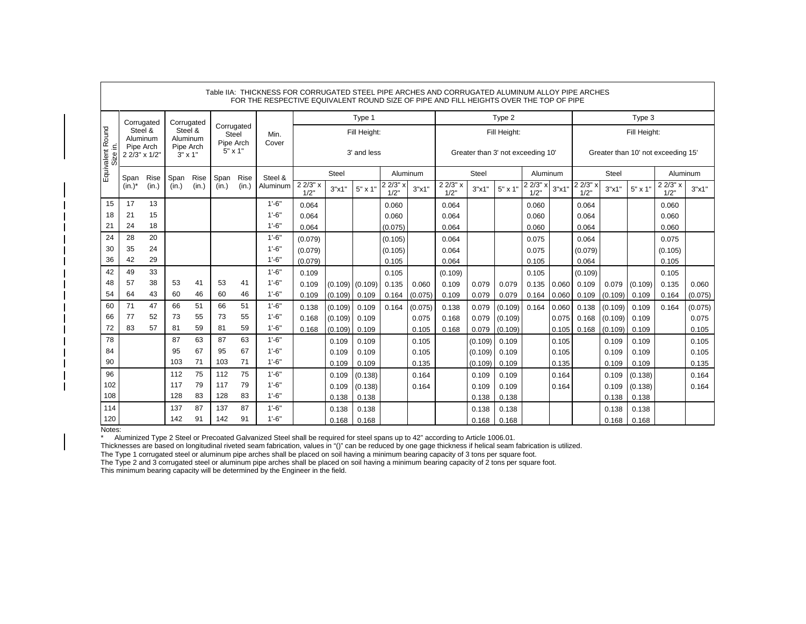|                              |                            |       |                             |          |                                         |          | Table IIA: THICKNESS FOR CORRUGATED STEEL PIPE ARCHES AND CORRUGATED ALUMINUM ALLOY PIPE ARCHES<br>FOR THE RESPECTIVE EQUIVALENT ROUND SIZE OF PIPE AND FILL HEIGHTS OVER THE TOP OF PIPE |                  |                |                     |                  |         |                  |                                   |                |                 |       |                |                |                  |                                    |         |
|------------------------------|----------------------------|-------|-----------------------------|----------|-----------------------------------------|----------|-------------------------------------------------------------------------------------------------------------------------------------------------------------------------------------------|------------------|----------------|---------------------|------------------|---------|------------------|-----------------------------------|----------------|-----------------|-------|----------------|----------------|------------------|------------------------------------|---------|
|                              | Corrugated                 |       | Corrugated                  |          |                                         |          |                                                                                                                                                                                           |                  |                | Type 1              |                  |         |                  |                                   | Type 2         |                 |       |                |                | Type 3           |                                    |         |
|                              | Steel &<br>Aluminum        |       | Steel &<br>Aluminum         |          | Corrugated<br><b>Steel</b><br>Pipe Arch |          | Min.<br>Cover                                                                                                                                                                             |                  |                | Fill Height:        |                  |         |                  |                                   | Fill Height:   |                 |       |                |                | Fill Height:     |                                    |         |
| Equivalent Round<br>Size in. | Pipe Arch<br>2 2/3" x 1/2" |       | Pipe Arch<br>$3" \times 1"$ |          | $5" \times 1"$                          |          |                                                                                                                                                                                           |                  |                | 3' and less         |                  |         |                  | Greater than 3' not exceeding 10' |                |                 |       |                |                |                  | Greater than 10' not exceeding 15' |         |
|                              | Span                       | Rise  | Span                        | Rise     | Span                                    | Rise     | Steel &                                                                                                                                                                                   |                  | Steel          |                     | Aluminum         |         |                  | Steel                             |                | Aluminum        |       |                | <b>Steel</b>   |                  | Aluminum                           |         |
|                              | $(in.)^*$                  | (in.) | (in.)                       | (in.)    | (in.)                                   | (in.)    | Aluminum                                                                                                                                                                                  | 2 2/3" x<br>1/2" | 3"x1"          | $5" \times 1"$      | 2 2/3" x<br>1/2" | 3"x1'   | 2 2/3" x<br>1/2" | 3"x1"                             | $5" \times 1"$ | 2 2/3" x<br>1/2 | 3"x1' | 2 2/3"<br>1/2" | 3"x1"          | $5" \times 1"$   | 2 2/3" x<br>1/2"                   | 3"x1"   |
| 15                           | 17                         | 13    |                             |          |                                         |          | $1' - 6"$                                                                                                                                                                                 | 0.064            |                |                     | 0.060            |         | 0.064            |                                   |                | 0.060           |       | 0.064          |                |                  | 0.060                              |         |
| 18                           | 21                         | 15    |                             |          |                                         |          | $1' - 6"$                                                                                                                                                                                 | 0.064            |                |                     | 0.060            |         | 0.064            |                                   |                | 0.060           |       | 0.064          |                |                  | 0.060                              |         |
| 21                           | 24                         | 18    |                             |          |                                         |          | $1'-6''$                                                                                                                                                                                  | 0.064            |                |                     | (0.075)          |         | 0.064            |                                   |                | 0.060           |       | 0.064          |                |                  | 0.060                              |         |
| 24                           | 28                         | 20    |                             |          |                                         |          | $1' - 6"$                                                                                                                                                                                 | (0.079)          |                |                     | (0.105)          |         | 0.064            |                                   |                | 0.075           |       | 0.064          |                |                  | 0.075                              |         |
| 30                           | 35                         | 24    |                             |          |                                         |          | $1'-6''$                                                                                                                                                                                  | (0.079)          |                |                     | (0.105)          |         | 0.064            |                                   |                | 0.075           |       | (0.079)        |                |                  | (0.105)                            |         |
| 36                           | 42                         | 29    |                             |          |                                         |          | $1' - 6"$                                                                                                                                                                                 | (0.079)          |                |                     | 0.105            |         | 0.064            |                                   |                | 0.105           |       | 0.064          |                |                  | 0.105                              |         |
| 42                           | 49                         | 33    |                             |          |                                         |          | $1'-6''$                                                                                                                                                                                  | 0.109            |                |                     | 0.105            |         | (0.109)          |                                   |                | 0.105           |       | (0.109)        |                |                  | 0.105                              |         |
| 48                           | 57                         | 38    | 53                          | 41       | 53                                      | 41       | $1'-6''$                                                                                                                                                                                  | 0.109            |                | $(0.109)$ $(0.109)$ | 0.135            | 0.060   | 0.109            | 0.079                             | 0.079          | 0.135           | 0.060 | 0.109          | 0.079          | (0.109)          | 0.135                              | 0.060   |
| 54                           | 64                         | 43    | 60                          | 46       | 60                                      | 46       | $1' - 6"$                                                                                                                                                                                 | 0.109            | (0.109)        | 0.109               | 0.164            | (0.075) | 0.109            | 0.079                             | 0.079          | 0.164           | 0.060 | 0.109          | (0.109)        | 0.109            | 0.164                              | (0.075) |
| 60                           | 71                         | 47    | 66                          | 51       | 66                                      | 51       | $1'-6''$                                                                                                                                                                                  | 0.138            | (0.109)        | 0.109               | 0.164            | (0.075) | 0.138            | 0.079                             | (0.109)        | 0.164           | 0.060 | 0.138          | (0.109)        | 0.109            | 0.164                              | (0.075) |
| 66                           | 77                         | 52    | 73                          | 55       | 73                                      | 55       | $1'-6''$<br>$1'-6''$                                                                                                                                                                      | 0.168            | (0.109)        | 0.109               |                  | 0.075   | 0.168            | 0.079                             | (0.109)        |                 | 0.075 | 0.168          | (0.109)        | 0.109            |                                    | 0.075   |
| 72                           | 83                         | 57    | 81                          | 59       | 81                                      | 59       |                                                                                                                                                                                           | 0.168            | (0.109)        | 0.109               |                  | 0.105   | 0.168            | 0.079                             | (0.109)        |                 | 0.105 | 0.168          | (0.109)        | 0.109            |                                    | 0.105   |
| 78<br>84                     |                            |       | 87<br>95                    | 63<br>67 | 87<br>95                                | 63<br>67 | $1' - 6"$<br>$1'-6''$                                                                                                                                                                     |                  | 0.109          | 0.109               |                  | 0.105   |                  | (0.109)                           | 0.109          |                 | 0.105 |                | 0.109          | 0.109            |                                    | 0.105   |
| 90                           |                            |       | 103                         | 71       | 103                                     | 71       | $1'-6''$                                                                                                                                                                                  |                  | 0.109          | 0.109               |                  | 0.105   |                  | (0.109)                           | 0.109          |                 | 0.105 |                | 0.109          | 0.109            |                                    | 0.105   |
| 96                           |                            |       | 112                         | 75       | 112                                     | 75       | $1'-6''$                                                                                                                                                                                  |                  | 0.109          | 0.109               |                  | 0.135   |                  | (0.109)                           | 0.109          |                 | 0.135 |                | 0.109          | 0.109            |                                    | 0.135   |
| 102                          |                            |       | 117                         | 79       | 117                                     | 79       | $1'-6''$                                                                                                                                                                                  |                  | 0.109          | (0.138)             |                  | 0.164   |                  | 0.109                             | 0.109          |                 | 0.164 |                | 0.109          | (0.138)          |                                    | 0.164   |
| 108                          |                            |       | 128                         | 83       | 128                                     | 83       | $1' - 6"$                                                                                                                                                                                 |                  | 0.109<br>0.138 | (0.138)<br>0.138    |                  | 0.164   |                  | 0.109<br>0.138                    | 0.109<br>0.138 |                 | 0.164 |                | 0.109<br>0.138 | (0.138)<br>0.138 |                                    | 0.164   |
| 114                          |                            |       | 137                         | 87       | 137                                     | 87       | $1'-6''$                                                                                                                                                                                  |                  | 0.138          | 0.138               |                  |         |                  | 0.138                             | 0.138          |                 |       |                | 0.138          | 0.138            |                                    |         |
| 120                          |                            |       | 142                         | 91       | 142                                     | 91       | $1'-6''$                                                                                                                                                                                  |                  | 0.168          | 0.168               |                  |         |                  | 0.168                             | 0.168          |                 |       |                | 0.168          | 0.168            |                                    |         |

\* Aluminized Type 2 Steel or Precoated Galvanized Steel shall be required for steel spans up to 42" according to Article 1006.01.

Thicknesses are based on longitudinal riveted seam fabrication, values in "()" can be reduced by one gage thickness if helical seam fabrication is utilized.

The Type 1 corrugated steel or aluminum pipe arches shall be placed on soil having a minimum bearing capacity of 3 tons per square foot.

The Type 2 and 3 corrugated steel or aluminum pipe arches shall be placed on soil having a minimum bearing capacity of 2 tons per square foot.

This minimum bearing capacity will be determined by the Engineer in the field.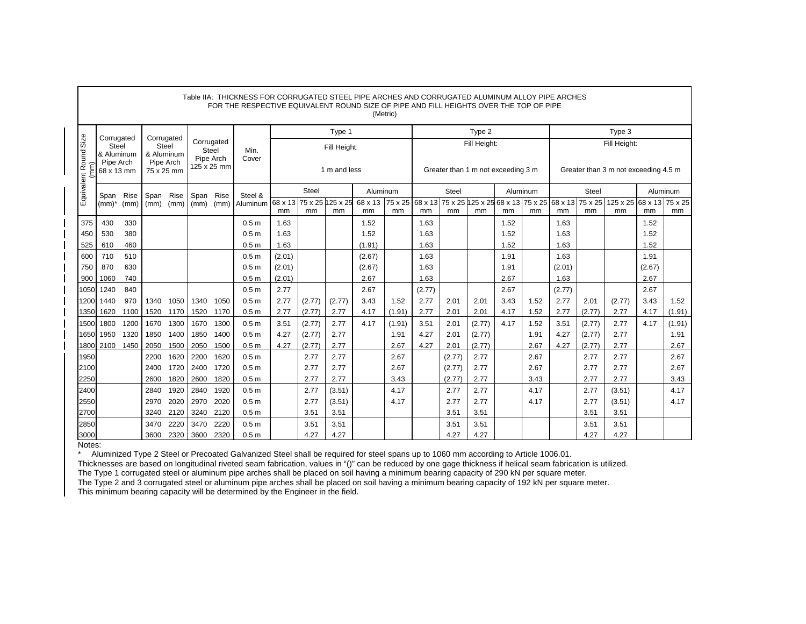|                               |                                                              |              |                                                              |              |              |                                                 | Table IIA: THICKNESS FOR CORRUGATED STEEL PIPE ARCHES AND CORRUGATED ALUMINUM ALLOY PIPE ARCHES<br>FOR THE RESPECTIVE EQUIVALENT ROUND SIZE OF PIPE AND FILL HEIGHTS OVER THE TOP OF PIPE |                   |                        |                              |                       | (Metric)       |              |              |                  |                                    |              |              |                  |                                                                                         |          |                |
|-------------------------------|--------------------------------------------------------------|--------------|--------------------------------------------------------------|--------------|--------------|-------------------------------------------------|-------------------------------------------------------------------------------------------------------------------------------------------------------------------------------------------|-------------------|------------------------|------------------------------|-----------------------|----------------|--------------|--------------|------------------|------------------------------------|--------------|--------------|------------------|-----------------------------------------------------------------------------------------|----------|----------------|
|                               |                                                              |              |                                                              |              |              |                                                 |                                                                                                                                                                                           |                   |                        | Type 1                       |                       |                |              |              | Type 2           |                                    |              |              |                  | Type 3                                                                                  |          |                |
| Size<br>Equivalent Round<br>ε | Corrugated<br>Steel<br>& Aluminum<br>Pipe Arch<br>68 x 13 mm |              | Corrugated<br>Steel<br>& Aluminum<br>Pipe Arch<br>75 x 25 mm |              |              | Corrugated<br>Steel<br>Pipe Arch<br>125 x 25 mm | Min.<br>Cover                                                                                                                                                                             |                   |                        | Fill Height:<br>1 m and less |                       |                |              |              | Fill Height:     | Greater than 1 m not exceeding 3 m |              |              |                  | Fill Height:<br>Greater than 3 m not exceeding 4.5 m                                    |          |                |
|                               | Span                                                         | Rise         | Span                                                         | Rise         | Span         | <b>Rise</b>                                     | Steel &                                                                                                                                                                                   | Steel<br>Aluminum |                        |                              |                       |                |              | Steel        |                  | Aluminum                           |              |              | Steel            |                                                                                         | Aluminum |                |
|                               | $(mm)^*$                                                     | (mm)         | (mm)                                                         | (mm)         | (mm)         | (mm)                                            | Aluminum                                                                                                                                                                                  | 68 x 13<br>mm     | 75 x 25 125 x 25<br>mm | mm                           | 68 x 13 75 x 25<br>mm | mm             | mm           | mm           | mm               | mm                                 | mm           | mm           | mm               | 68 x 13 75 x 25 125 x 25 68 x 13 75 x 25 68 x 13 75 x 25 125 x 25 68 x 13 75 x 25<br>mm | mm       | mm             |
| 375                           | 430                                                          | 330          |                                                              |              |              |                                                 | 0.5 <sub>m</sub>                                                                                                                                                                          | 1.63              |                        |                              | 1.52                  |                | 1.63         |              |                  | 1.52                               |              | 1.63         |                  |                                                                                         | 1.52     |                |
| 450                           | 530                                                          | 380          |                                                              |              |              |                                                 | 0.5 <sub>m</sub>                                                                                                                                                                          | 1.63              |                        |                              | 1.52                  |                | 1.63         |              |                  | 1.52                               |              | 1.63         |                  |                                                                                         | 1.52     |                |
| 525                           | 610                                                          | 460          |                                                              |              |              |                                                 | 0.5 <sub>m</sub>                                                                                                                                                                          | 1.63              |                        |                              | (1.91)                |                | 1.63         |              |                  | 1.52                               |              | 1.63         |                  |                                                                                         | 1.52     |                |
| 600                           | 710                                                          | 510          |                                                              |              |              |                                                 | 0.5 <sub>m</sub>                                                                                                                                                                          | (2.01)            |                        |                              | (2.67)                |                | 1.63         |              |                  | 1.91                               |              | 1.63         |                  |                                                                                         | 1.91     |                |
| 750                           | 870                                                          | 630          |                                                              |              |              |                                                 | 0.5 <sub>m</sub>                                                                                                                                                                          | (2.01)            |                        |                              | (2.67)                |                | 1.63         |              |                  | 1.91                               |              | (2.01)       |                  |                                                                                         | (2.67)   |                |
| 900                           | 1060                                                         | 740          |                                                              |              |              |                                                 | 0.5 <sub>m</sub>                                                                                                                                                                          | (2.01)            |                        |                              | 2.67                  |                | 1.63         |              |                  | 2.67                               |              | 1.63         |                  |                                                                                         | 2.67     |                |
| 1050                          | 1240                                                         | 840          |                                                              |              |              |                                                 | 0.5 <sub>m</sub>                                                                                                                                                                          | 2.77              |                        |                              | 2.67                  |                | (2.77)       |              |                  | 2.67                               |              | (2.77)       |                  |                                                                                         | 2.67     |                |
| 1200                          | 1440                                                         | 970          | 1340                                                         | 1050         | 1340         | 1050                                            | 0.5 <sub>m</sub>                                                                                                                                                                          | 2.77              | (2.77)                 | (2.77)                       | 3.43                  | 1.52           | 2.77         | 2.01         | 2.01             | 3.43                               | 1.52         | 2.77         | 2.01             | (2.77)                                                                                  | 3.43     | 1.52           |
| 1350                          | 1620                                                         | 1100         | 1520                                                         | 1170         | 1520         | 1170                                            | 0.5 <sub>m</sub>                                                                                                                                                                          | 2.77              | (2.77)                 | 2.77                         | 4.17                  | (1.91)         | 2.77         | 2.01         | 2.01             | 4.17                               | 1.52         | 2.77         | (2.77)           | 2.77                                                                                    | 4.17     | (1.91)         |
| 1500                          | 1800<br>1950                                                 | 1200         | 1670<br>1850                                                 | 1300<br>1400 | 1670<br>1850 | 1300<br>1400                                    | 0.5 <sub>m</sub><br>0.5 <sub>m</sub>                                                                                                                                                      | 3.51<br>4.27      | (2.77)                 | 2.77<br>2.77                 | 4.17                  | (1.91)<br>1.91 | 3.51<br>4.27 | 2.01<br>2.01 | (2.77)           | 4.17                               | 1.52<br>1.91 | 3.51<br>4.27 | (2.77)           | 2.77<br>2.77                                                                            | 4.17     | (1.91)<br>1.91 |
| 1650                          | 1800 2100                                                    | 1320<br>1450 | 2050                                                         | 1500         | 2050         | 1500                                            | 0.5 <sub>m</sub>                                                                                                                                                                          | 4.27              | (2.77)<br>(2.77)       | 2.77                         |                       | 2.67           | 4.27         | 2.01         | (2.77)<br>(2.77) |                                    | 2.67         | 4.27         | (2.77)<br>(2.77) | 2.77                                                                                    |          | 2.67           |
| 1950                          |                                                              |              | 2200                                                         | 1620         | 2200         | 1620                                            | 0.5 <sub>m</sub>                                                                                                                                                                          |                   | 2.77                   | 2.77                         |                       | 2.67           |              | (2.77)       | 2.77             |                                    | 2.67         |              | 2.77             | 2.77                                                                                    |          | 2.67           |
| 2100                          |                                                              |              | 2400                                                         | 1720         | 2400         | 1720                                            | 0.5 <sub>m</sub>                                                                                                                                                                          |                   | 2.77                   | 2.77                         |                       | 2.67           |              | (2.77)       | 2.77             |                                    | 2.67         |              | 2.77             | 2.77                                                                                    |          | 2.67           |
| 2250                          |                                                              |              | 2600                                                         | 1820         | 2600         | 1820                                            | 0.5 <sub>m</sub>                                                                                                                                                                          |                   | 2.77                   | 2.77                         |                       | 3.43           |              | (2.77)       | 2.77             |                                    | 3.43         |              | 2.77             | 2.77                                                                                    |          | 3.43           |
| 2400                          |                                                              |              | 2840                                                         | 1920         | 2840         | 1920                                            | 0.5 <sub>m</sub>                                                                                                                                                                          |                   | 2.77                   | (3.51)                       |                       | 4.17           |              | 2.77         | 2.77             |                                    | 4.17         |              | 2.77             | (3.51)                                                                                  |          | 4.17           |
| 2550                          |                                                              |              | 2970                                                         | 2020         | 2970         | 2020                                            | 0.5 <sub>m</sub>                                                                                                                                                                          |                   | 2.77                   | (3.51)                       |                       | 4.17           |              | 2.77         | 2.77             |                                    | 4.17         |              | 2.77             | (3.51)                                                                                  |          | 4.17           |
| 2700                          |                                                              |              | 3240                                                         | 2120         | 3240         | 2120                                            | 0.5 <sub>m</sub>                                                                                                                                                                          |                   | 3.51                   | 3.51                         |                       |                |              | 3.51         | 3.51             |                                    |              |              | 3.51             | 3.51                                                                                    |          |                |
| 2850                          |                                                              |              | 3470                                                         | 2220         | 3470         | 2220                                            | 0.5 <sub>m</sub>                                                                                                                                                                          |                   | 3.51                   | 3.51                         |                       |                |              | 3.51         | 3.51             |                                    |              |              | 3.51             | 3.51                                                                                    |          |                |
| 3000                          |                                                              |              | 3600                                                         | 2320         | 3600         | 2320                                            | 0.5 <sub>m</sub>                                                                                                                                                                          |                   | 4.27                   | 4.27                         |                       |                |              | 4.27         | 4.27             |                                    |              |              | 4.27             | 4.27                                                                                    |          |                |

\* Aluminized Type 2 Steel or Precoated Galvanized Steel shall be required for steel spans up to 1060 mm according to Article 1006.01.

Thicknesses are based on longitudinal riveted seam fabrication, values in "()" can be reduced by one gage thickness if helical seam fabrication is utilized.

The Type 1 corrugated steel or aluminum pipe arches shall be placed on soil having a minimum bearing capacity of 290 kN per square meter.

The Type 2 and 3 corrugated steel or aluminum pipe arches shall be placed on soil having a minimum bearing capacity of 192 kN per square meter. This minimum bearing capacity will be determined by the Engineer in the field.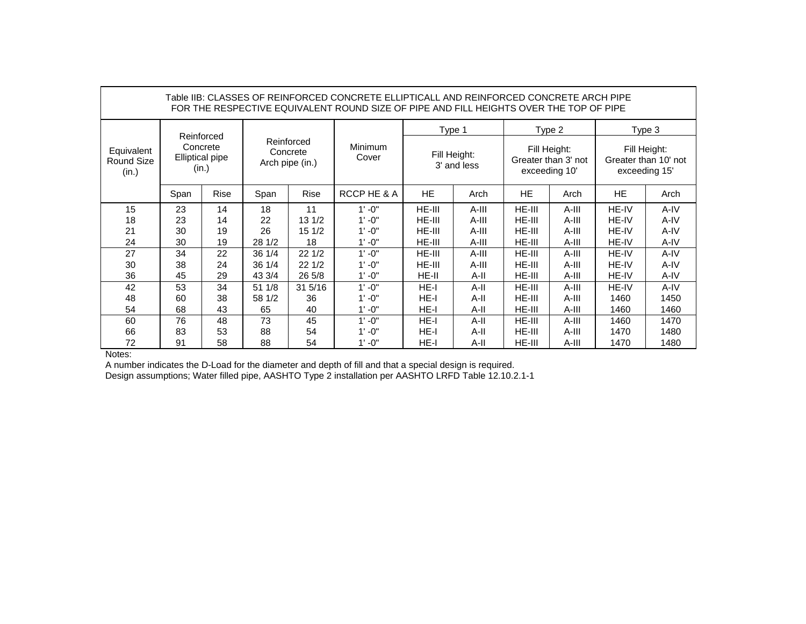|                                   |      |                                                    |        |                                           | Table IIB: CLASSES OF REINFORCED CONCRETE ELLIPTICALL AND REINFORCED CONCRETE ARCH PIPE<br>FOR THE RESPECTIVE EQUIVALENT ROUND SIZE OF PIPE AND FILL HEIGHTS OVER THE TOP OF PIPE |           |                             |               |                                     |              |                                      |
|-----------------------------------|------|----------------------------------------------------|--------|-------------------------------------------|-----------------------------------------------------------------------------------------------------------------------------------------------------------------------------------|-----------|-----------------------------|---------------|-------------------------------------|--------------|--------------------------------------|
|                                   |      |                                                    |        |                                           |                                                                                                                                                                                   | Type 1    |                             |               | Type 2                              |              | Type 3                               |
| Equivalent<br>Round Size<br>(in.) |      | Reinforced<br>Concrete<br>Elliptical pipe<br>(in.) |        | Reinforced<br>Concrete<br>Arch pipe (in.) | <b>Minimum</b><br>Cover                                                                                                                                                           |           | Fill Height:<br>3' and less | exceeding 10' | Fill Height:<br>Greater than 3' not | exceeding 15 | Fill Height:<br>Greater than 10' not |
|                                   | Span | Rise                                               | Span   | Rise                                      | RCCP HE & A                                                                                                                                                                       | <b>HE</b> | Arch                        | HE.           | Arch                                | HE.          | Arch                                 |
| 15                                | 23   | 14                                                 | 18     | 11                                        | $1' - 0''$                                                                                                                                                                        | HE-III    | A-III                       | $HE-III$      | $A-III$                             | HE-IV        | $A-IV$                               |
| 18                                | 23   | 14                                                 | 22     | 131/2                                     | $1' - 0''$                                                                                                                                                                        | HE-III    | $A-III$                     | $HE-III$      | $A-III$                             | HE-IV        | A-IV                                 |
| 21                                | 30   | 19                                                 | 26     | 15 1/2                                    | $1' - 0''$                                                                                                                                                                        | HE-III    | A-III                       | HE-III        | A-III                               | HE-IV        | A-IV                                 |
| 24                                | 30   | 19                                                 | 28 1/2 | 18                                        | $1' - 0''$                                                                                                                                                                        | HE-III    | A-III                       | $HE-III$      | A-III                               | HE-IV        | A-IV                                 |
| 27                                | 34   | 22                                                 | 36 1/4 | 221/2                                     | $1' - 0''$                                                                                                                                                                        | HE-III    | $A-III$                     | $HE-III$      | $A-III$                             | HE-IV        | A-IV                                 |
| 30                                | 38   | 24                                                 | 36 1/4 | 221/2                                     | $1' - 0''$                                                                                                                                                                        | HE-III    | A-III                       | $HE-III$      | A-III                               | HE-IV        | A-IV                                 |
| 36                                | 45   | 29                                                 | 43 3/4 | 26 5/8                                    | $1' - 0''$                                                                                                                                                                        | $HE-II$   | $A-II$                      | $HE-III$      | A-III                               | HE-IV        | A-IV                                 |
| 42                                | 53   | 34                                                 | 51 1/8 | 31 5/16                                   | $1' - 0''$                                                                                                                                                                        | HE-I      | $A-II$                      | HE-III        | A-III                               | HE-IV        | A-IV                                 |
| 48                                | 60   | 38                                                 | 58 1/2 | 36                                        | $1' - 0''$                                                                                                                                                                        | HE-I      | $A-II$                      | HE-III        | $A-III$                             | 1460         | 1450                                 |
| 54                                | 68   | 43                                                 | 65     | 40                                        | $1' - 0''$                                                                                                                                                                        | $HE-I$    | A-II                        | $HE-III$      | $A-III$                             | 1460         | 1460                                 |
| 60                                | 76   | 48                                                 | 73     | 45                                        | $1' - 0''$                                                                                                                                                                        | HE-I      | A-II                        | HE-III        | A-III                               | 1460         | 1470                                 |
| 66                                | 83   | 53                                                 | 88     | 54                                        | $1' - 0''$                                                                                                                                                                        | $HE-I$    | A-II                        | $HE-III$      | A-III                               | 1470         | 1480                                 |
| 72                                | 91   | 58                                                 | 88     | 54                                        | $1' - 0''$                                                                                                                                                                        | $HE-I$    | A-II                        | HE-III        | A-III                               | 1470         | 1480                                 |

A number indicates the D-Load for the diameter and depth of fill and that a special design is required.

Design assumptions; Water filled pipe, AASHTO Type 2 installation per AASHTO LRFD Table 12.10.2.1-1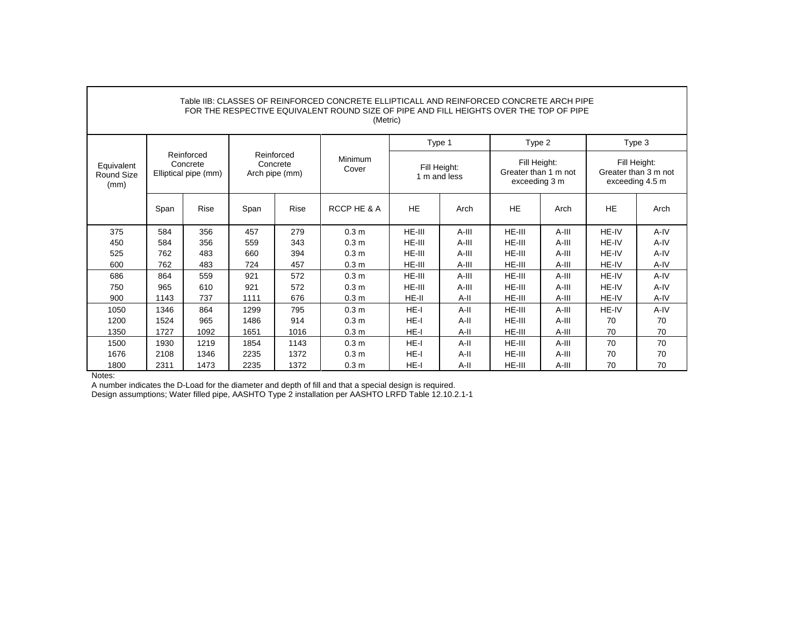| Table IIB: CLASSES OF REINFORCED CONCRETE ELLIPTICALL AND REINFORCED CONCRETE ARCH PIPE<br>FOR THE RESPECTIVE EQUIVALENT ROUND SIZE OF PIPE AND FILL HEIGHTS OVER THE TOP OF PIPE<br>(Metric) |      |                                                |                                          |      |                  |           |                              |                                                       |         |                                                         |      |  |  |
|-----------------------------------------------------------------------------------------------------------------------------------------------------------------------------------------------|------|------------------------------------------------|------------------------------------------|------|------------------|-----------|------------------------------|-------------------------------------------------------|---------|---------------------------------------------------------|------|--|--|
|                                                                                                                                                                                               |      |                                                |                                          |      |                  |           | Type 1                       | Type 2                                                |         | Type 3                                                  |      |  |  |
| Equivalent<br>Round Size<br>(mm)                                                                                                                                                              |      | Reinforced<br>Concrete<br>Elliptical pipe (mm) | Reinforced<br>Concrete<br>Arch pipe (mm) |      | Minimum<br>Cover |           | Fill Height:<br>1 m and less | Fill Height:<br>Greater than 1 m not<br>exceeding 3 m |         | Fill Height:<br>Greater than 3 m not<br>exceeding 4.5 m |      |  |  |
|                                                                                                                                                                                               | Span | Rise                                           | Span                                     | Rise | RCCP HE & A      | <b>HE</b> | Arch                         | <b>HE</b>                                             | Arch    | <b>HE</b>                                               | Arch |  |  |
| 375                                                                                                                                                                                           | 584  | 356                                            | 457                                      | 279  | 0.3 <sub>m</sub> | HE-III    | A-III                        | HE-III                                                | A-III   | HE-IV                                                   | A-IV |  |  |
| 450                                                                                                                                                                                           | 584  | 356                                            | 559                                      | 343  | 0.3 <sub>m</sub> | HE-III    | A-III                        | HE-III                                                | A-III   | HE-IV                                                   | A-IV |  |  |
| 525                                                                                                                                                                                           | 762  | 483                                            | 660                                      | 394  | 0.3 <sub>m</sub> | HE-III    | A-III                        | HE-III                                                | A-III   | HE-IV                                                   | A-IV |  |  |
| 600                                                                                                                                                                                           | 762  | 483                                            | 724                                      | 457  | 0.3 <sub>m</sub> | HE-III    | A-III                        | HE-III                                                | A-III   | HE-IV                                                   | A-IV |  |  |
| 686                                                                                                                                                                                           | 864  | 559                                            | 921                                      | 572  | 0.3 <sub>m</sub> | HE-III    | $A-III$                      | HE-III                                                | A-III   | HE-IV                                                   | A-IV |  |  |
| 750                                                                                                                                                                                           | 965  | 610                                            | 921                                      | 572  | 0.3 <sub>m</sub> | HE-III    | A-III                        | HE-III                                                | A-III   | HE-IV                                                   | A-IV |  |  |
| 900                                                                                                                                                                                           | 1143 | 737                                            | 1111                                     | 676  | 0.3 <sub>m</sub> | HE-II     | A-II                         | HE-III                                                | A-III   | HE-IV                                                   | A-IV |  |  |
| 1050                                                                                                                                                                                          | 1346 | 864                                            | 1299                                     | 795  | 0.3 <sub>m</sub> | HE-I      | $A-II$                       | HE-III                                                | A-III   | HE-IV                                                   | A-IV |  |  |
| 1200                                                                                                                                                                                          | 1524 | 965                                            | 1486                                     | 914  | 0.3 <sub>m</sub> | HE-I      | A-II                         | HE-III                                                | $A-III$ | 70                                                      | 70   |  |  |
| 1350                                                                                                                                                                                          | 1727 | 1092                                           | 1651                                     | 1016 | 0.3 <sub>m</sub> | HE-I      | A-II                         | HE-III                                                | A-III   | 70                                                      | 70   |  |  |
| 1500                                                                                                                                                                                          | 1930 | 1219                                           | 1854                                     | 1143 | 0.3 <sub>m</sub> | HE-I      | A-II                         | HE-III                                                | $A-III$ | 70                                                      | 70   |  |  |
| 1676                                                                                                                                                                                          | 2108 | 1346                                           | 2235                                     | 1372 | 0.3 <sub>m</sub> | HE-I      | A-II                         | HE-III                                                | A-III   | 70                                                      | 70   |  |  |
| 1800                                                                                                                                                                                          | 2311 | 1473                                           | 2235                                     | 1372 | 0.3 <sub>m</sub> | $HE-I$    | A-II                         | HE-III                                                | A-III   | 70                                                      | 70   |  |  |

Г

A number indicates the D-Load for the diameter and depth of fill and that a special design is required.

Design assumptions; Water filled pipe, AASHTO Type 2 installation per AASHTO LRFD Table 12.10.2.1-1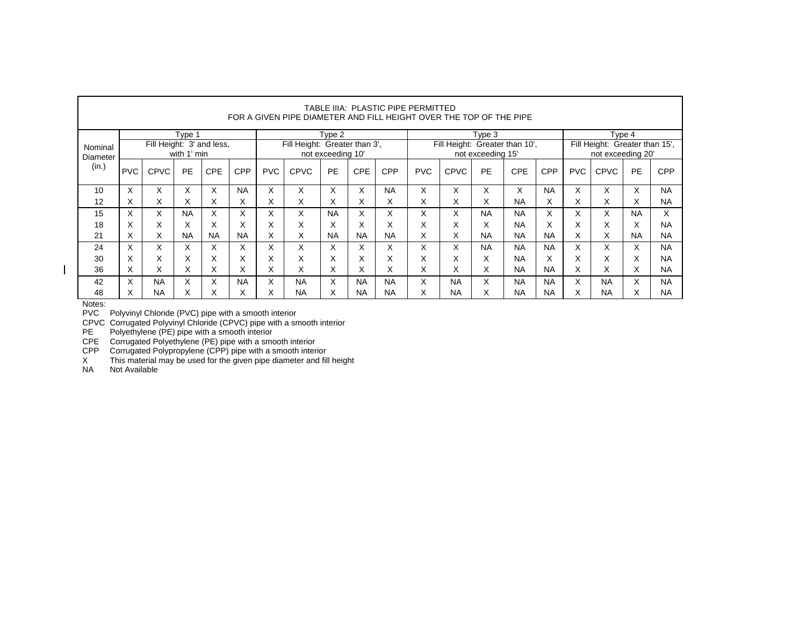|          | TABLE IIIA: PLASTIC PIPE PERMITTED<br>FOR A GIVEN PIPE DIAMETER AND FILL HEIGHT OVER THE TOP OF THE PIPE |                           |             |            |            |            |                               |           |            |            |            |                                |           |                                |            |                   |             |           |            |
|----------|----------------------------------------------------------------------------------------------------------|---------------------------|-------------|------------|------------|------------|-------------------------------|-----------|------------|------------|------------|--------------------------------|-----------|--------------------------------|------------|-------------------|-------------|-----------|------------|
|          |                                                                                                          |                           | Type 1      |            |            | Type 2     |                               |           |            |            |            | Type 3                         |           |                                | Type 4     |                   |             |           |            |
| Nominal  |                                                                                                          | Fill Height: 3' and less, |             |            |            |            | Fill Height: Greater than 3', |           |            |            |            | Fill Height: Greater than 10', |           | Fill Height: Greater than 15', |            |                   |             |           |            |
| Diameter |                                                                                                          |                           | with 1' min |            |            |            | not exceeding 10'             |           |            |            |            | not exceeding 15'              |           |                                |            | not exceeding 20' |             |           |            |
| (in.)    | <b>PVC</b>                                                                                               | <b>CPVC</b>               | PE          | <b>CPE</b> | <b>CPP</b> | <b>PVC</b> | <b>CPVC</b>                   | <b>PE</b> | <b>CPE</b> | <b>CPP</b> | <b>PVC</b> | <b>CPVC</b>                    | <b>PE</b> | CPE                            | <b>CPP</b> | <b>PVC</b>        | <b>CPVC</b> | PE        | <b>CPP</b> |
| 10       | X                                                                                                        | X                         | X           | X          | <b>NA</b>  | X          | X                             | X         | X          | <b>NA</b>  | X          | X                              | X         | X                              | <b>NA</b>  | X                 | X           | X         | <b>NA</b>  |
| 12       | X                                                                                                        | X                         | X           | х.         | Х          | X          | X                             | X         | X          | X          | X          | X                              | X         | <b>NA</b>                      | X          | X                 | X           | X         | <b>NA</b>  |
| 15       | X                                                                                                        | X.                        | <b>NA</b>   | X.         | X          | X          | X                             | <b>NA</b> | X          | X          | X          | X                              | <b>NA</b> | <b>NA</b>                      | X          | X                 | X           | <b>NA</b> | X          |
| 18       | X                                                                                                        | X                         | X           | X          | X          | X          | X                             | X         | X          | X          | X          | X                              | X         | <b>NA</b>                      | X          | x                 | X           | X         | <b>NA</b>  |
| 21       | X                                                                                                        | X                         | <b>NA</b>   | <b>NA</b>  | <b>NA</b>  | X          | X                             | <b>NA</b> | <b>NA</b>  | <b>NA</b>  | X          | X                              | <b>NA</b> | <b>NA</b>                      | <b>NA</b>  | X                 | X           | <b>NA</b> | <b>NA</b>  |
| 24       | X                                                                                                        | X.                        | X           | X          | X          | X          | X                             | X         | X          | X          | X          | X.                             | <b>NA</b> | <b>NA</b>                      | <b>NA</b>  | X                 | X           | X         | <b>NA</b>  |
| 30       | X                                                                                                        | X                         | X           | X          | X          | X          | X                             | X         | X          | X          | X          | X                              | X         | <b>NA</b>                      | X          | X                 | X           | X         | <b>NA</b>  |
| 36       | X                                                                                                        | X                         | X           | X.         | Х          | X          | X                             | X         | X          | X          | X          | X                              | X         | <b>NA</b>                      | <b>NA</b>  | X                 | X           | X         | <b>NA</b>  |
| 42       | X                                                                                                        | <b>NA</b>                 | X           | X          | <b>NA</b>  | X          | <b>NA</b>                     | X         | <b>NA</b>  | <b>NA</b>  | X.         | <b>NA</b>                      | X         | <b>NA</b>                      | <b>NA</b>  | X                 | <b>NA</b>   | X         | <b>NA</b>  |
| 48       | X                                                                                                        | <b>NA</b>                 | Х           | x          | Х          | ^          | <b>NA</b>                     | X         | <b>NA</b>  | <b>NA</b>  | X.         | <b>NA</b>                      | X         | <b>NA</b>                      | <b>NA</b>  | х                 | <b>NA</b>   | x         | <b>NA</b>  |

٦

 $\overline{\phantom{a}}$ 

 $\Gamma$ 

PVC Polyvinyl Chloride (PVC) pipe with a smooth interior

CPVC Corrugated Polyvinyl Chloride (CPVC) pipe with a smooth interior

PE Polyethylene (PE) pipe with a smooth interior

CPE Corrugated Polyethylene (PE) pipe with a smooth interior

CPP Corrugated Polypropylene (CPP) pipe with a smooth interior

X This material may be used for the given pipe diameter and fill height

NA Not Available

Notes: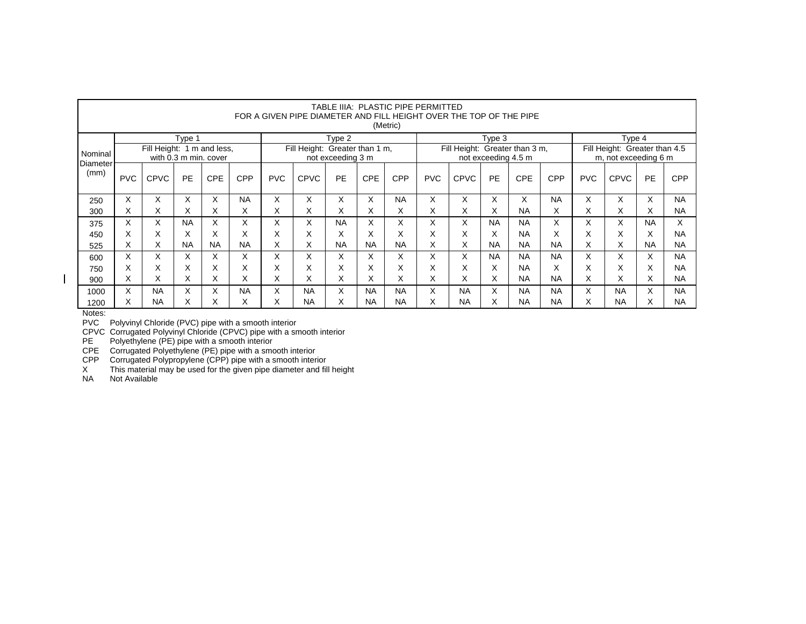|                  | TABLE IIIA:  PLASTIC PIPE PERMITTED<br>FOR A GIVEN PIPE DIAMETER AND FILL HEIGHT OVER THE TOP OF THE PIPE<br>(Metric) |                                                                                                            |           |            |            |            |             |                                                       |            |           |                    |                   |                                                       |            |           |            |             |           |            |
|------------------|-----------------------------------------------------------------------------------------------------------------------|------------------------------------------------------------------------------------------------------------|-----------|------------|------------|------------|-------------|-------------------------------------------------------|------------|-----------|--------------------|-------------------|-------------------------------------------------------|------------|-----------|------------|-------------|-----------|------------|
|                  | Type 4<br>Type 1<br>Type 2<br>Type 3                                                                                  |                                                                                                            |           |            |            |            |             |                                                       |            |           |                    |                   |                                                       |            |           |            |             |           |            |
| Nominal          |                                                                                                                       | Fill Height: Greater than 1 m,<br>Fill Height: 1 m and less,<br>with 0.3 m min. cover<br>not exceeding 3 m |           |            |            |            |             | Fill Height: Greater than 3 m,<br>not exceeding 4.5 m |            |           |                    |                   | Fill Height: Greater than 4.5<br>m, not exceeding 6 m |            |           |            |             |           |            |
| Diameter<br>(mm) | <b>PVC</b>                                                                                                            | <b>CPVC</b>                                                                                                | <b>PE</b> | <b>CPE</b> | <b>CPP</b> | <b>PVC</b> | <b>CPVC</b> | PE                                                    | <b>CPE</b> | CPP       | <b>PVC</b>         | <b>CPVC</b>       | <b>PE</b>                                             | <b>CPE</b> | CPP       | <b>PVC</b> | <b>CPVC</b> | PE        | <b>CPP</b> |
| 250              | X                                                                                                                     | X                                                                                                          | X         | X          | <b>NA</b>  | X          | X           | X.                                                    | X          | <b>NA</b> | X                  | X                 | X                                                     | X          | <b>NA</b> | X.         | X           | X         | <b>NA</b>  |
| 300              | X                                                                                                                     | X                                                                                                          | X         | X          | X          | X          | X           | X                                                     | Χ          | X         | X                  | X                 | X                                                     | <b>NA</b>  | X         | X.         | X           | Х         | <b>NA</b>  |
| 375              | X                                                                                                                     | X                                                                                                          | <b>NA</b> | X          | X          | Χ          | X           | <b>NA</b>                                             | X          | X         | X                  | X                 | <b>NA</b>                                             | <b>NA</b>  | X         | X          | X           | <b>NA</b> | X          |
| 450              | X                                                                                                                     | ⋏                                                                                                          | X         | X          | Χ          | Χ          | X           | v<br>ᄉ                                                | X          | X         | $\checkmark$<br>∧  | $\checkmark$<br>v | X                                                     | <b>NA</b>  | Х         | X          | X           | X         | <b>NA</b>  |
| 525              | X                                                                                                                     | X                                                                                                          | <b>NA</b> | <b>NA</b>  | <b>NA</b>  | Χ          | X           | <b>NA</b>                                             | <b>NA</b>  | <b>NA</b> | $\checkmark$<br>^  | X                 | <b>NA</b>                                             | <b>NA</b>  | <b>NA</b> | X.         | X           | <b>NA</b> | <b>NA</b>  |
| 600              | X                                                                                                                     | X                                                                                                          | X         | X          | X          | X          | X           | X.                                                    | X          | X         | $\checkmark$<br>л. | X                 | <b>NA</b>                                             | <b>NA</b>  | <b>NA</b> | X.         | X           | X         | <b>NA</b>  |
| 750              | X                                                                                                                     | X                                                                                                          | X         | X          | X          | X          | X           | X                                                     | X          | X         | $\checkmark$<br>л. | v                 | X                                                     | <b>NA</b>  | X         | X          | X           | X         | <b>NA</b>  |
| 900              | X                                                                                                                     | X                                                                                                          | Х         | X          | X          | X          | X           | X.                                                    | X          | x         | л.                 | X                 | X                                                     | <b>NA</b>  | <b>NA</b> | X.         | X           | X         | <b>NA</b>  |
| 1000             | X                                                                                                                     | <b>NA</b>                                                                                                  | X         | X          | <b>NA</b>  | X          | <b>NA</b>   | X                                                     | <b>NA</b>  | <b>NA</b> | X                  | <b>NA</b>         | X                                                     | <b>NA</b>  | <b>NA</b> | X          | <b>NA</b>   | X         | <b>NA</b>  |
| 1200             | X                                                                                                                     | <b>NA</b>                                                                                                  | Х         | ∧          | X          | X          | <b>NA</b>   | X                                                     | <b>NA</b>  | <b>NA</b> | ^                  | <b>NA</b>         | X                                                     | <b>NA</b>  | <b>NA</b> | X          | <b>NA</b>   | X         | <b>NA</b>  |

 $\overline{\phantom{a}}$ 

PVC Polyvinyl Chloride (PVC) pipe with a smooth interior

CPVC Corrugated Polyvinyl Chloride (CPVC) pipe with a smooth interior

PE Polyethylene (PE) pipe with a smooth interior

CPE Corrugated Polyethylene (PE) pipe with a smooth interior

CPP Corrugated Polypropylene (CPP) pipe with a smooth interior

X This material may be used for the given pipe diameter and fill height

NA Not Available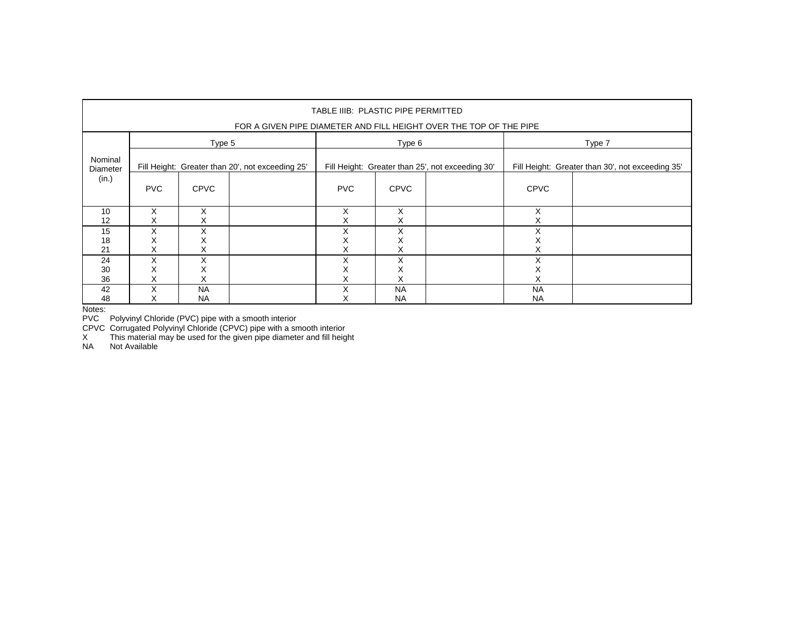| TABLE IIIB: PLASTIC PIPE PERMITTED<br>FOR A GIVEN PIPE DIAMETER AND FILL HEIGHT OVER THE TOP OF THE PIPE |             |                        |                                                  |             |                        |                                                  |                                                  |  |  |  |  |  |  |
|----------------------------------------------------------------------------------------------------------|-------------|------------------------|--------------------------------------------------|-------------|------------------------|--------------------------------------------------|--------------------------------------------------|--|--|--|--|--|--|
|                                                                                                          |             | Type 5                 |                                                  |             | Type 6                 |                                                  | Type 7                                           |  |  |  |  |  |  |
| Nominal<br>Diameter                                                                                      |             |                        | Fill Height: Greater than 20', not exceeding 25' |             |                        | Fill Height: Greater than 25', not exceeding 30' | Fill Height: Greater than 30', not exceeding 35' |  |  |  |  |  |  |
| (in.)                                                                                                    | <b>PVC</b>  | <b>CPVC</b>            |                                                  | <b>PVC</b>  | <b>CPVC</b>            |                                                  | <b>CPVC</b>                                      |  |  |  |  |  |  |
| 10<br>12                                                                                                 | X<br>х      | X<br>х                 |                                                  | X<br>х      | X<br>⋏                 |                                                  | X                                                |  |  |  |  |  |  |
| 15<br>18<br>21                                                                                           | X<br>⋏<br>х | X<br>х<br>х            |                                                  | X<br>↗<br>X | X<br>⋏                 |                                                  | ⋏                                                |  |  |  |  |  |  |
| 24<br>30<br>36                                                                                           | X<br>⋏<br>X | Χ<br>⋏<br>х            |                                                  | Χ<br>⋏<br>х | x                      |                                                  | ⋏                                                |  |  |  |  |  |  |
| 42<br>48                                                                                                 | X<br>x      | <b>NA</b><br><b>NA</b> |                                                  | Χ           | <b>NA</b><br><b>NA</b> |                                                  | <b>NA</b><br><b>NA</b>                           |  |  |  |  |  |  |

PVC Polyvinyl Chloride (PVC) pipe with a smooth interior

CPVC Corrugated Polyvinyl Chloride (CPVC) pipe with a smooth interior

X This material may be used for the given pipe diameter and fill height

NA Not Available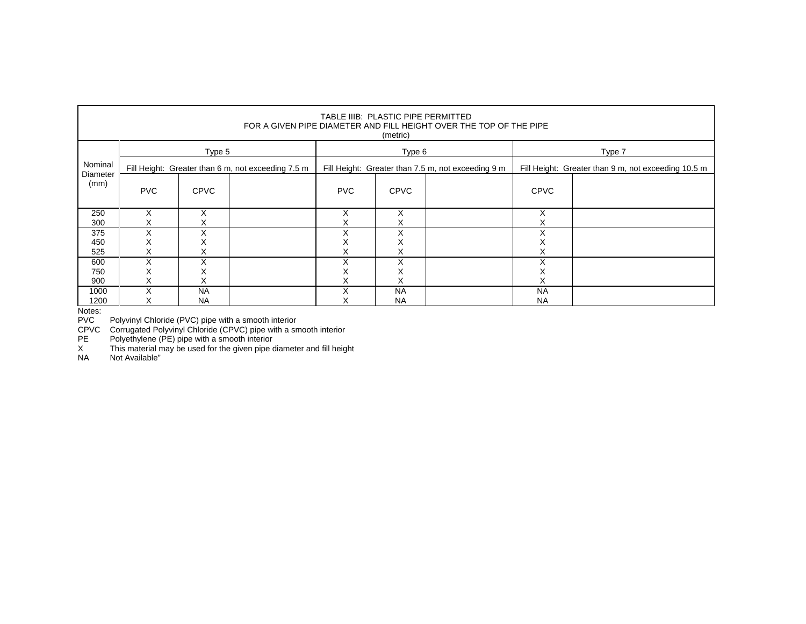| TABLE IIIB: PLASTIC PIPE PERMITTED<br>FOR A GIVEN PIPE DIAMETER AND FILL HEIGHT OVER THE TOP OF THE PIPE<br>(metric) |                   |                                                    |  |                   |                                                    |                                                     |              |  |  |  |  |  |  |
|----------------------------------------------------------------------------------------------------------------------|-------------------|----------------------------------------------------|--|-------------------|----------------------------------------------------|-----------------------------------------------------|--------------|--|--|--|--|--|--|
|                                                                                                                      |                   | Type 5                                             |  |                   | Type 6                                             |                                                     | Type 7       |  |  |  |  |  |  |
| Nominal                                                                                                              |                   | Fill Height: Greater than 6 m, not exceeding 7.5 m |  |                   | Fill Height: Greater than 7.5 m, not exceeding 9 m | Fill Height: Greater than 9 m, not exceeding 10.5 m |              |  |  |  |  |  |  |
| Diameter<br>(mm)                                                                                                     | <b>PVC</b>        | <b>CPVC</b>                                        |  | <b>PVC</b>        | <b>CPVC</b>                                        |                                                     | <b>CPVC</b>  |  |  |  |  |  |  |
| 250                                                                                                                  | X                 | X                                                  |  | X                 | X                                                  |                                                     | X            |  |  |  |  |  |  |
| 300                                                                                                                  | х                 | X                                                  |  | ⋏                 | х                                                  |                                                     | ⋏            |  |  |  |  |  |  |
| 375                                                                                                                  | $\checkmark$<br>ᄉ | $\checkmark$                                       |  | $\checkmark$      | v<br>^                                             |                                                     | $\checkmark$ |  |  |  |  |  |  |
| 450                                                                                                                  | ⋏                 | ⌒                                                  |  | ∧                 | ∧                                                  |                                                     |              |  |  |  |  |  |  |
| 525                                                                                                                  | x                 | X                                                  |  |                   | X                                                  |                                                     |              |  |  |  |  |  |  |
| 600                                                                                                                  | X                 | X                                                  |  | $\checkmark$<br>л | Χ                                                  |                                                     | X            |  |  |  |  |  |  |
| 750                                                                                                                  | ⋏                 | ⌒                                                  |  |                   | ∧                                                  |                                                     |              |  |  |  |  |  |  |
| 900                                                                                                                  | ⋏                 | Х                                                  |  |                   | ⋏                                                  |                                                     |              |  |  |  |  |  |  |
| 1000                                                                                                                 | X                 | <b>NA</b>                                          |  | $\checkmark$      | <b>NA</b>                                          |                                                     | <b>NA</b>    |  |  |  |  |  |  |
| 1200                                                                                                                 | ⋏                 | <b>NA</b>                                          |  |                   | <b>NA</b>                                          |                                                     | <b>NA</b>    |  |  |  |  |  |  |

PVC Polyvinyl Chloride (PVC) pipe with a smooth interior

CPVC Corrugated Polyvinyl Chloride (CPVC) pipe with a smooth interior

PE Polyethylene (PE) pipe with a smooth interior

X This material may be used for the given pipe diameter and fill height NA Not Available"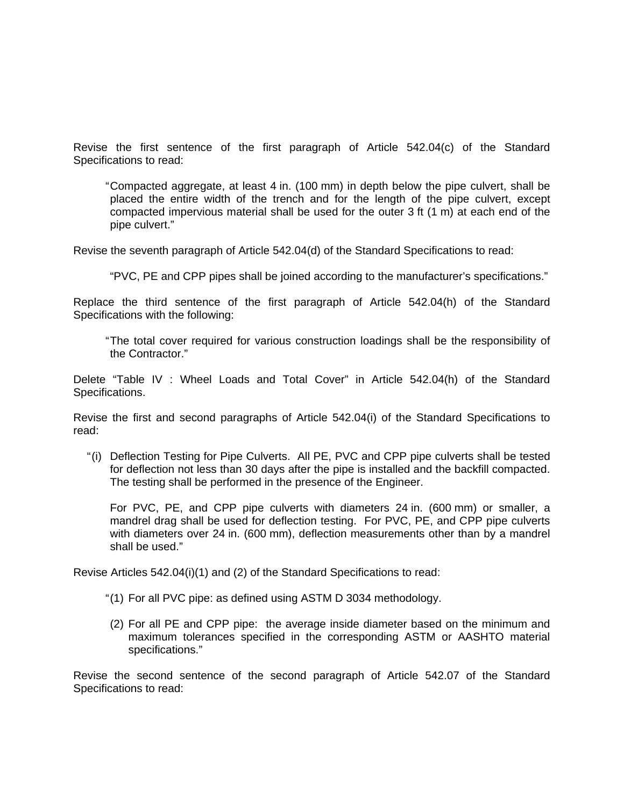Revise the first sentence of the first paragraph of Article 542.04(c) of the Standard Specifications to read:

" Compacted aggregate, at least 4 in. (100 mm) in depth below the pipe culvert, shall be placed the entire width of the trench and for the length of the pipe culvert, except compacted impervious material shall be used for the outer 3 ft (1 m) at each end of the pipe culvert."

Revise the seventh paragraph of Article 542.04(d) of the Standard Specifications to read:

"PVC, PE and CPP pipes shall be joined according to the manufacturer's specifications."

Replace the third sentence of the first paragraph of Article 542.04(h) of the Standard Specifications with the following:

" The total cover required for various construction loadings shall be the responsibility of the Contractor."

Delete "Table IV : Wheel Loads and Total Cover" in Article 542.04(h) of the Standard Specifications.

Revise the first and second paragraphs of Article 542.04(i) of the Standard Specifications to read:

" (i) Deflection Testing for Pipe Culverts. All PE, PVC and CPP pipe culverts shall be tested for deflection not less than 30 days after the pipe is installed and the backfill compacted. The testing shall be performed in the presence of the Engineer.

For PVC, PE, and CPP pipe culverts with diameters 24 in. (600 mm) or smaller, a mandrel drag shall be used for deflection testing. For PVC, PE, and CPP pipe culverts with diameters over 24 in. (600 mm), deflection measurements other than by a mandrel shall be used."

Revise Articles 542.04(i)(1) and (2) of the Standard Specifications to read:

- " (1) For all PVC pipe: as defined using ASTM D 3034 methodology.
- (2) For all PE and CPP pipe: the average inside diameter based on the minimum and maximum tolerances specified in the corresponding ASTM or AASHTO material specifications."

Revise the second sentence of the second paragraph of Article 542.07 of the Standard Specifications to read: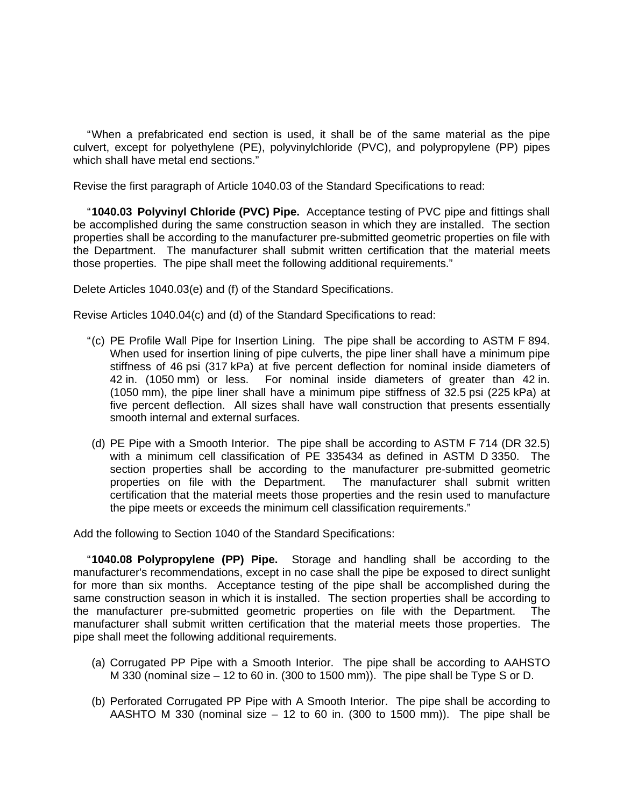" When a prefabricated end section is used, it shall be of the same material as the pipe culvert, except for polyethylene (PE), polyvinylchloride (PVC), and polypropylene (PP) pipes which shall have metal end sections."

Revise the first paragraph of Article 1040.03 of the Standard Specifications to read:

" **1040.03 Polyvinyl Chloride (PVC) Pipe.** Acceptance testing of PVC pipe and fittings shall be accomplished during the same construction season in which they are installed. The section properties shall be according to the manufacturer pre-submitted geometric properties on file with the Department. The manufacturer shall submit written certification that the material meets those properties. The pipe shall meet the following additional requirements."

Delete Articles 1040.03(e) and (f) of the Standard Specifications.

Revise Articles 1040.04(c) and (d) of the Standard Specifications to read:

- " (c) PE Profile Wall Pipe for Insertion Lining. The pipe shall be according to ASTM F 894. When used for insertion lining of pipe culverts, the pipe liner shall have a minimum pipe stiffness of 46 psi (317 kPa) at five percent deflection for nominal inside diameters of 42 in. (1050 mm) or less. For nominal inside diameters of greater than 42 in. (1050 mm), the pipe liner shall have a minimum pipe stiffness of 32.5 psi (225 kPa) at five percent deflection. All sizes shall have wall construction that presents essentially smooth internal and external surfaces.
- (d) PE Pipe with a Smooth Interior. The pipe shall be according to ASTM F 714 (DR 32.5) with a minimum cell classification of PE 335434 as defined in ASTM D 3350. The section properties shall be according to the manufacturer pre-submitted geometric properties on file with the Department. The manufacturer shall submit written certification that the material meets those properties and the resin used to manufacture the pipe meets or exceeds the minimum cell classification requirements."

Add the following to Section 1040 of the Standard Specifications:

" **1040.08 Polypropylene (PP) Pipe.** Storage and handling shall be according to the manufacturer's recommendations, except in no case shall the pipe be exposed to direct sunlight for more than six months. Acceptance testing of the pipe shall be accomplished during the same construction season in which it is installed. The section properties shall be according to the manufacturer pre-submitted geometric properties on file with the Department. The manufacturer shall submit written certification that the material meets those properties. The pipe shall meet the following additional requirements.

- (a) Corrugated PP Pipe with a Smooth Interior. The pipe shall be according to AAHSTO M 330 (nominal size – 12 to 60 in. (300 to 1500 mm)). The pipe shall be Type S or D.
- (b) Perforated Corrugated PP Pipe with A Smooth Interior. The pipe shall be according to AASHTO M 330 (nominal size  $-12$  to 60 in. (300 to 1500 mm)). The pipe shall be